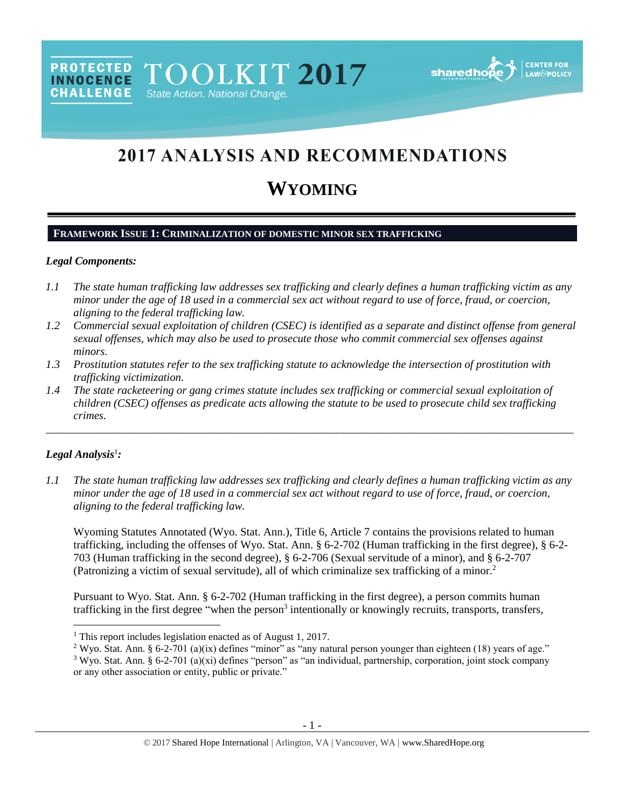

# 2017 ANALYSIS AND RECOMMENDATIONS

# **WYOMING**

# **FRAMEWORK ISSUE 1: CRIMINALIZATION OF DOMESTIC MINOR SEX TRAFFICKING**

### *Legal Components:*

**INNOCENCE** 

- *1.1 The state human trafficking law addresses sex trafficking and clearly defines a human trafficking victim as any minor under the age of 18 used in a commercial sex act without regard to use of force, fraud, or coercion, aligning to the federal trafficking law.*
- *1.2 Commercial sexual exploitation of children (CSEC) is identified as a separate and distinct offense from general sexual offenses, which may also be used to prosecute those who commit commercial sex offenses against minors.*
- *1.3 Prostitution statutes refer to the sex trafficking statute to acknowledge the intersection of prostitution with trafficking victimization.*
- *1.4 The state racketeering or gang crimes statute includes sex trafficking or commercial sexual exploitation of children (CSEC) offenses as predicate acts allowing the statute to be used to prosecute child sex trafficking crimes.*

\_\_\_\_\_\_\_\_\_\_\_\_\_\_\_\_\_\_\_\_\_\_\_\_\_\_\_\_\_\_\_\_\_\_\_\_\_\_\_\_\_\_\_\_\_\_\_\_\_\_\_\_\_\_\_\_\_\_\_\_\_\_\_\_\_\_\_\_\_\_\_\_\_\_\_\_\_\_\_\_\_\_\_\_\_\_\_\_\_\_\_\_\_\_

# *Legal Analysis*<sup>1</sup> *:*

<span id="page-0-0"></span> $\overline{\phantom{a}}$ 

*1.1 The state human trafficking law addresses sex trafficking and clearly defines a human trafficking victim as any minor under the age of 18 used in a commercial sex act without regard to use of force, fraud, or coercion, aligning to the federal trafficking law.*

Wyoming Statutes Annotated (Wyo. Stat. Ann.), Title 6, Article 7 contains the provisions related to human trafficking, including the offenses of Wyo. Stat. Ann. § 6-2-702 (Human trafficking in the first degree), § 6-2- 703 (Human trafficking in the second degree), § 6-2-706 (Sexual servitude of a minor), and § 6-2-707 (Patronizing a victim of sexual servitude), all of which criminalize sex trafficking of a minor.<sup>2</sup>

<span id="page-0-1"></span>Pursuant to Wyo. Stat. Ann. § 6-2-702 (Human trafficking in the first degree), a person commits human trafficking in the first degree "when the person<sup>3</sup> intentionally or knowingly recruits, transports, transfers,

- <sup>2</sup> Wyo. Stat. Ann. § 6-2-701 (a)(ix) defines "minor" as "any natural person younger than eighteen (18) years of age."
- <sup>3</sup> Wyo. Stat. Ann. § 6-2-701 (a)(xi) defines "person" as "an individual, partnership, corporation, joint stock company or any other association or entity, public or private."

<sup>1</sup> This report includes legislation enacted as of August 1, 2017.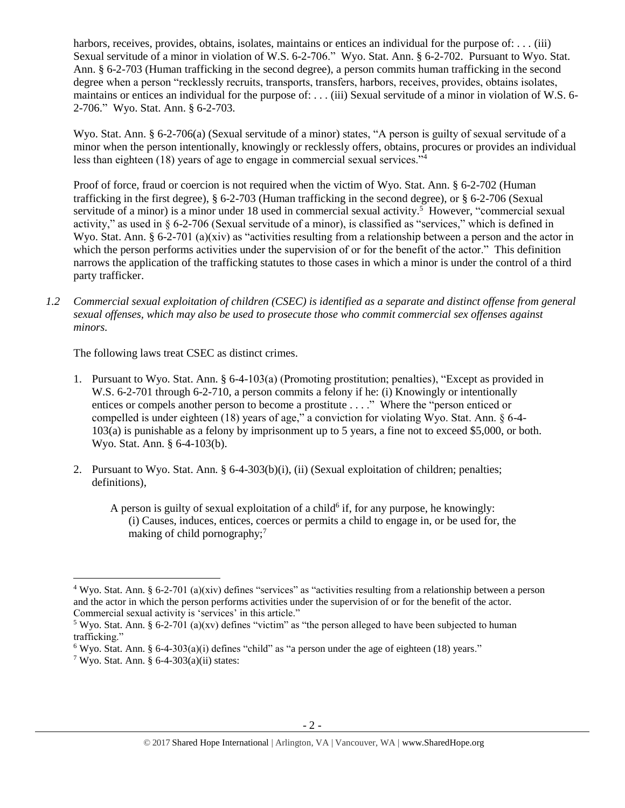harbors, receives, provides, obtains, isolates, maintains or entices an individual for the purpose of: . . . (iii) Sexual servitude of a minor in violation of W.S. 6-2-706." Wyo. Stat. Ann. § 6-2-702. Pursuant to Wyo. Stat. Ann. § 6-2-703 (Human trafficking in the second degree), a person commits human trafficking in the second degree when a person "recklessly recruits, transports, transfers, harbors, receives, provides, obtains isolates, maintains or entices an individual for the purpose of: . . . (iii) Sexual servitude of a minor in violation of W.S. 6- 2-706." Wyo. Stat. Ann. § 6-2-703.

Wyo. Stat. Ann. § 6-2-706(a) (Sexual servitude of a minor) states, "A person is guilty of sexual servitude of a minor when the person intentionally, knowingly or recklessly offers, obtains, procures or provides an individual less than eighteen (18) years of age to engage in commercial sexual services."<sup>4</sup>

<span id="page-1-0"></span>Proof of force, fraud or coercion is not required when the victim of Wyo. Stat. Ann. § 6-2-702 (Human trafficking in the first degree), § 6-2-703 (Human trafficking in the second degree), or § 6-2-706 (Sexual servitude of a minor) is a minor under 18 used in commercial sexual activity.<sup>5</sup> However, "commercial sexual activity," as used in § 6-2-706 (Sexual servitude of a minor), is classified as "services," which is defined in Wyo. Stat. Ann. § 6-2-701 (a)(xiv) as "activities resulting from a relationship between a person and the actor in which the person performs activities under the supervision of or for the benefit of the actor." This definition narrows the application of the trafficking statutes to those cases in which a minor is under the control of a third party trafficker.

*1.2 Commercial sexual exploitation of children (CSEC) is identified as a separate and distinct offense from general sexual offenses, which may also be used to prosecute those who commit commercial sex offenses against minors.*

The following laws treat CSEC as distinct crimes.

- 1. Pursuant to Wyo. Stat. Ann. § 6-4-103(a) (Promoting prostitution; penalties), "Except as provided in W.S. 6-2-701 through 6-2-710, a person commits a felony if he: (i) Knowingly or intentionally entices or compels another person to become a prostitute . . . ." Where the "person enticed or compelled is under eighteen (18) years of age," a conviction for violating Wyo. Stat. Ann. § 6-4- 103(a) is punishable as a felony by imprisonment up to 5 years, a fine not to exceed \$5,000, or both. Wyo. Stat. Ann. § 6-4-103(b).
- 2. Pursuant to Wyo. Stat. Ann. § 6-4-303(b)(i), (ii) (Sexual exploitation of children; penalties; definitions),

<span id="page-1-2"></span><span id="page-1-1"></span>A person is guilty of sexual exploitation of a child $6$  if, for any purpose, he knowingly: (i) Causes, induces, entices, coerces or permits a child to engage in, or be used for, the making of child pornography;<sup>7</sup>

<sup>&</sup>lt;sup>4</sup> Wyo. Stat. Ann. § 6-2-701 (a)(xiv) defines "services" as "activities resulting from a relationship between a person and the actor in which the person performs activities under the supervision of or for the benefit of the actor. Commercial sexual activity is 'services' in this article."

<sup>&</sup>lt;sup>5</sup> Wyo. Stat. Ann. § 6-2-701 (a)(xv) defines "victim" as "the person alleged to have been subjected to human trafficking."

 $6$  Wyo. Stat. Ann. § 6-4-303(a)(i) defines "child" as "a person under the age of eighteen (18) years."

<sup>&</sup>lt;sup>7</sup> Wyo. Stat. Ann. § 6-4-303(a)(ii) states: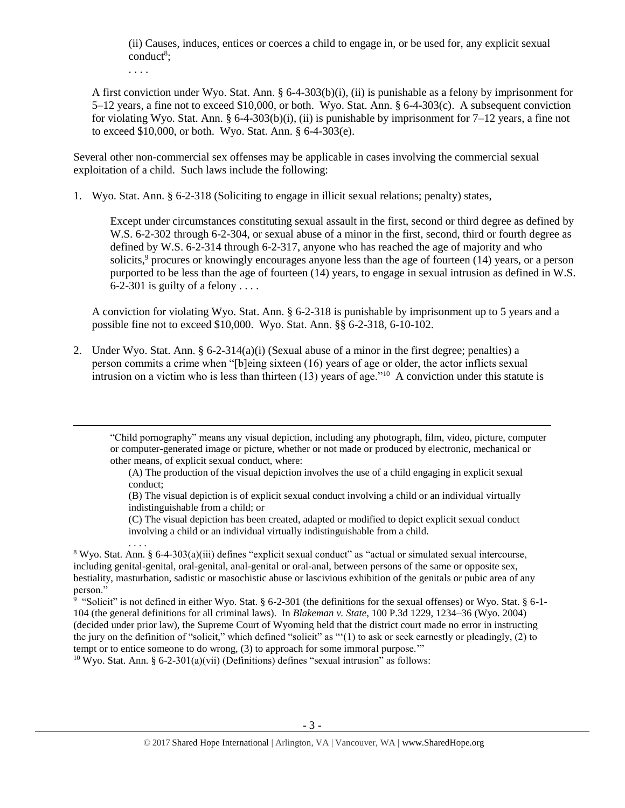(ii) Causes, induces, entices or coerces a child to engage in, or be used for, any explicit sexual  $\text{conduct}^8$ ;

. . . .

 $\overline{a}$ 

. . . .

A first conviction under Wyo. Stat. Ann. § 6-4-303(b)(i), (ii) is punishable as a felony by imprisonment for  $5-12$  years, a fine not to exceed \$10,000, or both. Wyo. Stat. Ann. § 6-4-303(c). A subsequent conviction for violating Wyo. Stat. Ann. § 6-4-303(b)(i), (ii) is punishable by imprisonment for 7–12 years, a fine not to exceed \$10,000, or both. Wyo. Stat. Ann. § 6-4-303(e).

Several other non-commercial sex offenses may be applicable in cases involving the commercial sexual exploitation of a child. Such laws include the following:

1. Wyo. Stat. Ann. § 6-2-318 (Soliciting to engage in illicit sexual relations; penalty) states,

Except under circumstances constituting sexual assault in the first, second or third degree as defined by W.S. 6-2-302 through 6-2-304, or sexual abuse of a minor in the first, second, third or fourth degree as defined by W.S. 6-2-314 through 6-2-317, anyone who has reached the age of majority and who solicits,<sup>9</sup> procures or knowingly encourages anyone less than the age of fourteen (14) years, or a person purported to be less than the age of fourteen (14) years, to engage in sexual intrusion as defined in W.S. 6-2-301 is guilty of a felony . . . .

A conviction for violating Wyo. Stat. Ann. § 6-2-318 is punishable by imprisonment up to 5 years and a possible fine not to exceed \$10,000. Wyo. Stat. Ann. §§ 6-2-318, 6-10-102.

2. Under Wyo. Stat. Ann. § 6-2-314(a)(i) (Sexual abuse of a minor in the first degree; penalties) a person commits a crime when "[b]eing sixteen (16) years of age or older, the actor inflicts sexual intrusion on a victim who is less than thirteen (13) years of age."<sup>10</sup> A conviction under this statute is

"Child pornography" means any visual depiction, including any photograph, film, video, picture, computer or computer-generated image or picture, whether or not made or produced by electronic, mechanical or other means, of explicit sexual conduct, where:

(A) The production of the visual depiction involves the use of a child engaging in explicit sexual conduct;

(B) The visual depiction is of explicit sexual conduct involving a child or an individual virtually indistinguishable from a child; or

(C) The visual depiction has been created, adapted or modified to depict explicit sexual conduct involving a child or an individual virtually indistinguishable from a child.

<sup>8</sup> Wyo. Stat. Ann. § 6-4-303(a)(iii) defines "explicit sexual conduct" as "actual or simulated sexual intercourse, including genital-genital, oral-genital, anal-genital or oral-anal, between persons of the same or opposite sex, bestiality, masturbation, sadistic or masochistic abuse or lascivious exhibition of the genitals or pubic area of any person."

<sup>9</sup> "Solicit" is not defined in either Wyo. Stat. § 6-2-301 (the definitions for the sexual offenses) or Wyo. Stat. § 6-1-104 (the general definitions for all criminal laws). In *Blakeman v. State*, 100 P.3d 1229, 1234–36 (Wyo. 2004) (decided under prior law), the Supreme Court of Wyoming held that the district court made no error in instructing the jury on the definition of "solicit," which defined "solicit" as "'(1) to ask or seek earnestly or pleadingly, (2) to tempt or to entice someone to do wrong, (3) to approach for some immoral purpose.'"

<sup>10</sup> Wyo. Stat. Ann. § 6-2-301(a)(vii) (Definitions) defines "sexual intrusion" as follows: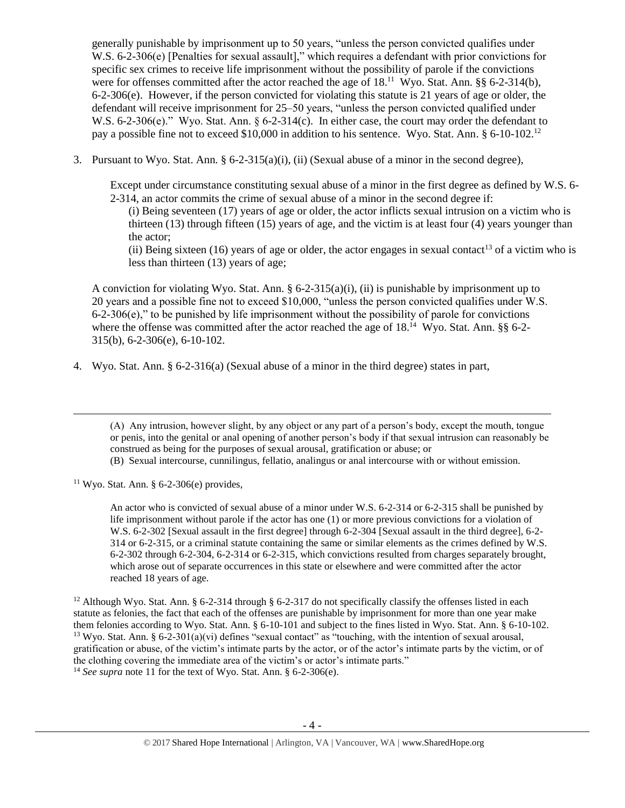generally punishable by imprisonment up to 50 years, "unless the person convicted qualifies under W.S. 6-2-306(e) [Penalties for sexual assault]," which requires a defendant with prior convictions for specific sex crimes to receive life imprisonment without the possibility of parole if the convictions were for offenses committed after the actor reached the age of 18.<sup>11</sup> Wyo. Stat. Ann. §§ 6-2-314(b), 6-2-306(e). However, if the person convicted for violating this statute is 21 years of age or older, the defendant will receive imprisonment for 25–50 years, "unless the person convicted qualified under W.S. 6-2-306(e)." Wyo. Stat. Ann. § 6-2-314(c). In either case, the court may order the defendant to pay a possible fine not to exceed \$10,000 in addition to his sentence. Wyo. Stat. Ann. § 6-10-102.<sup>12</sup>

3. Pursuant to Wyo. Stat. Ann.  $\S 6$ -2-315(a)(i), (ii) (Sexual abuse of a minor in the second degree),

Except under circumstance constituting sexual abuse of a minor in the first degree as defined by W.S. 6- 2-314, an actor commits the crime of sexual abuse of a minor in the second degree if:

<span id="page-3-0"></span>(i) Being seventeen (17) years of age or older, the actor inflicts sexual intrusion on a victim who is thirteen (13) through fifteen (15) years of age, and the victim is at least four (4) years younger than the actor;

(ii) Being sixteen (16) years of age or older, the actor engages in sexual contact<sup>13</sup> of a victim who is less than thirteen (13) years of age;

A conviction for violating Wyo. Stat. Ann. § 6-2-315(a)(i), (ii) is punishable by imprisonment up to 20 years and a possible fine not to exceed \$10,000, "unless the person convicted qualifies under W.S.  $6-2-306(e)$ ," to be punished by life imprisonment without the possibility of parole for convictions where the offense was committed after the actor reached the age of 18.<sup>14</sup> Wyo. Stat. Ann. §§ 6-2-315(b), 6-2-306(e), 6-10-102.

4. Wyo. Stat. Ann. § 6-2-316(a) (Sexual abuse of a minor in the third degree) states in part,

(A) Any intrusion, however slight, by any object or any part of a person's body, except the mouth, tongue or penis, into the genital or anal opening of another person's body if that sexual intrusion can reasonably be construed as being for the purposes of sexual arousal, gratification or abuse; or

(B) Sexual intercourse, cunnilingus, fellatio, analingus or anal intercourse with or without emission.

<sup>11</sup> Wyo. Stat. Ann. § 6-2-306(e) provides,

 $\overline{\phantom{a}}$ 

An actor who is convicted of sexual abuse of a minor under W.S. 6-2-314 or 6-2-315 shall be punished by life imprisonment without parole if the actor has one (1) or more previous convictions for a violation of W.S. 6-2-302 [Sexual assault in the first degree] through 6-2-304 [Sexual assault in the third degree], 6-2- 314 or 6-2-315, or a criminal statute containing the same or similar elements as the crimes defined by W.S. 6-2-302 through 6-2-304, 6-2-314 or 6-2-315, which convictions resulted from charges separately brought, which arose out of separate occurrences in this state or elsewhere and were committed after the actor reached 18 years of age.

<sup>12</sup> Although Wyo. Stat. Ann. § 6-2-314 through § 6-2-317 do not specifically classify the offenses listed in each statute as felonies, the fact that each of the offenses are punishable by imprisonment for more than one year make them felonies according to Wyo. Stat. Ann. § 6-10-101 and subject to the fines listed in Wyo. Stat. Ann. § 6-10-102. <sup>13</sup> Wyo. Stat. Ann. § 6-2-301(a)(vi) defines "sexual contact" as "touching, with the intention of sexual arousal, gratification or abuse, of the victim's intimate parts by the actor, or of the actor's intimate parts by the victim, or of the clothing covering the immediate area of the victim's or actor's intimate parts." <sup>14</sup> *See supra* note [11](#page-3-0) for the text of Wyo. Stat. Ann. § 6-2-306(e).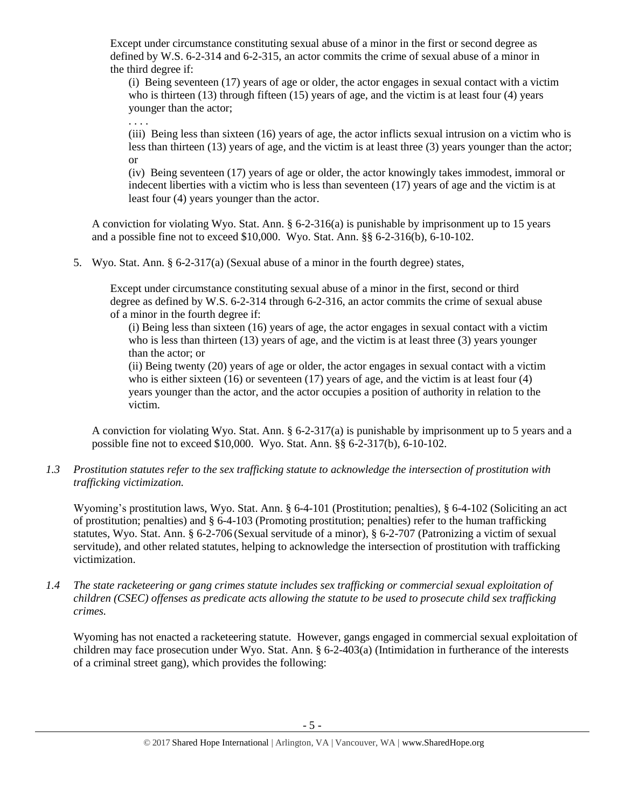Except under circumstance constituting sexual abuse of a minor in the first or second degree as defined by W.S. 6-2-314 and 6-2-315, an actor commits the crime of sexual abuse of a minor in the third degree if:

(i) Being seventeen (17) years of age or older, the actor engages in sexual contact with a victim who is thirteen (13) through fifteen (15) years of age, and the victim is at least four (4) years younger than the actor;

. . . .

(iii) Being less than sixteen (16) years of age, the actor inflicts sexual intrusion on a victim who is less than thirteen (13) years of age, and the victim is at least three (3) years younger than the actor; or

(iv) Being seventeen (17) years of age or older, the actor knowingly takes immodest, immoral or indecent liberties with a victim who is less than seventeen (17) years of age and the victim is at least four (4) years younger than the actor.

A conviction for violating Wyo. Stat. Ann. § 6-2-316(a) is punishable by imprisonment up to 15 years and a possible fine not to exceed \$10,000. Wyo. Stat. Ann. §§ 6-2-316(b), 6-10-102.

5. Wyo. Stat. Ann. § 6-2-317(a) (Sexual abuse of a minor in the fourth degree) states,

Except under circumstance constituting sexual abuse of a minor in the first, second or third degree as defined by W.S. 6-2-314 through 6-2-316, an actor commits the crime of sexual abuse of a minor in the fourth degree if:

(i) Being less than sixteen (16) years of age, the actor engages in sexual contact with a victim who is less than thirteen (13) years of age, and the victim is at least three (3) years younger than the actor; or

(ii) Being twenty (20) years of age or older, the actor engages in sexual contact with a victim who is either sixteen  $(16)$  or seventeen  $(17)$  years of age, and the victim is at least four  $(4)$ years younger than the actor, and the actor occupies a position of authority in relation to the victim.

A conviction for violating Wyo. Stat. Ann. § 6-2-317(a) is punishable by imprisonment up to 5 years and a possible fine not to exceed \$10,000. Wyo. Stat. Ann. §§ 6-2-317(b), 6-10-102.

*1.3 Prostitution statutes refer to the sex trafficking statute to acknowledge the intersection of prostitution with trafficking victimization.* 

Wyoming's prostitution laws, Wyo. Stat. Ann. § 6-4-101 (Prostitution; penalties), § 6-4-102 (Soliciting an act of prostitution; penalties) and § 6-4-103 (Promoting prostitution; penalties) refer to the human trafficking statutes, Wyo. Stat. Ann. § 6-2-706 (Sexual servitude of a minor), § 6-2-707 (Patronizing a victim of sexual servitude), and other related statutes, helping to acknowledge the intersection of prostitution with trafficking victimization.

*1.4 The state racketeering or gang crimes statute includes sex trafficking or commercial sexual exploitation of children (CSEC) offenses as predicate acts allowing the statute to be used to prosecute child sex trafficking crimes.* 

Wyoming has not enacted a racketeering statute. However, gangs engaged in commercial sexual exploitation of children may face prosecution under Wyo. Stat. Ann. § 6-2-403(a) (Intimidation in furtherance of the interests of a criminal street gang), which provides the following: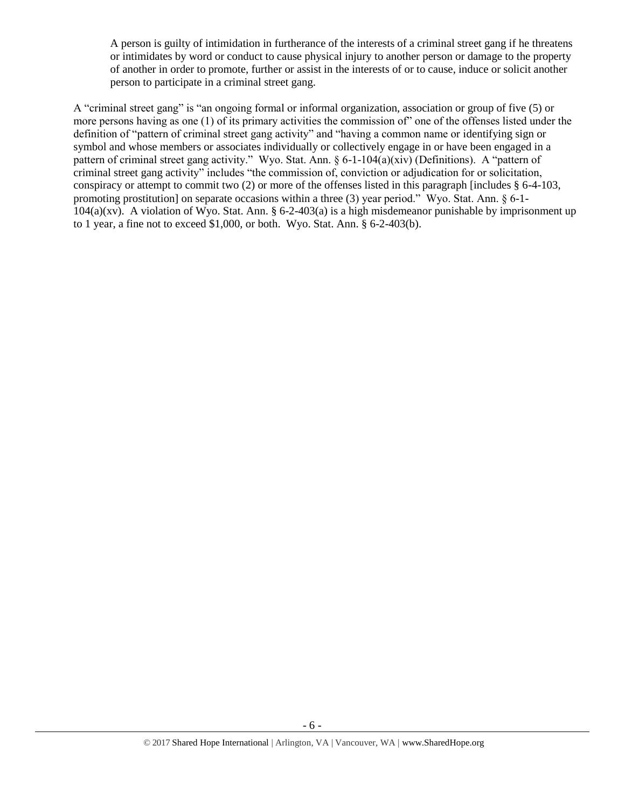A person is guilty of intimidation in furtherance of the interests of a criminal street gang if he threatens or intimidates by word or conduct to cause physical injury to another person or damage to the property of another in order to promote, further or assist in the interests of or to cause, induce or solicit another person to participate in a criminal street gang.

A "criminal street gang" is "an ongoing formal or informal organization, association or group of five (5) or more persons having as one (1) of its primary activities the commission of" one of the offenses listed under the definition of "pattern of criminal street gang activity" and "having a common name or identifying sign or symbol and whose members or associates individually or collectively engage in or have been engaged in a pattern of criminal street gang activity." Wyo. Stat. Ann. § 6-1-104(a)(xiv) (Definitions). A "pattern of criminal street gang activity" includes "the commission of, conviction or adjudication for or solicitation, conspiracy or attempt to commit two (2) or more of the offenses listed in this paragraph [includes § 6-4-103, promoting prostitution] on separate occasions within a three (3) year period." Wyo. Stat. Ann. § 6-1-  $104(a)(xv)$ . A violation of Wyo. Stat. Ann. § 6-2-403(a) is a high misdemeanor punishable by imprisonment up to 1 year, a fine not to exceed \$1,000, or both. Wyo. Stat. Ann. § 6-2-403(b).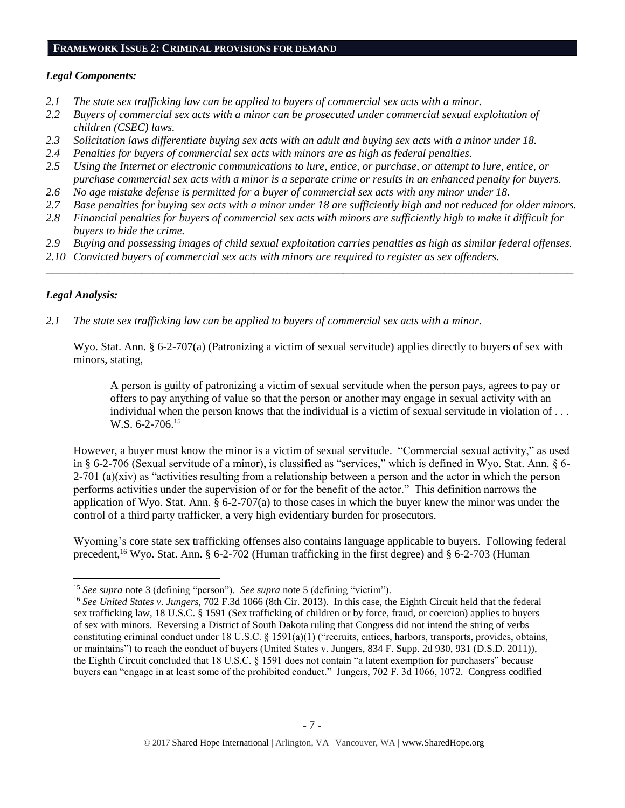#### **FRAMEWORK ISSUE 2: CRIMINAL PROVISIONS FOR DEMAND**

# *Legal Components:*

- *2.1 The state sex trafficking law can be applied to buyers of commercial sex acts with a minor.*
- *2.2 Buyers of commercial sex acts with a minor can be prosecuted under commercial sexual exploitation of children (CSEC) laws.*
- *2.3 Solicitation laws differentiate buying sex acts with an adult and buying sex acts with a minor under 18.*
- *2.4 Penalties for buyers of commercial sex acts with minors are as high as federal penalties.*
- *2.5 Using the Internet or electronic communications to lure, entice, or purchase, or attempt to lure, entice, or purchase commercial sex acts with a minor is a separate crime or results in an enhanced penalty for buyers.*
- *2.6 No age mistake defense is permitted for a buyer of commercial sex acts with any minor under 18.*
- *2.7 Base penalties for buying sex acts with a minor under 18 are sufficiently high and not reduced for older minors.*
- *2.8 Financial penalties for buyers of commercial sex acts with minors are sufficiently high to make it difficult for buyers to hide the crime.*
- *2.9 Buying and possessing images of child sexual exploitation carries penalties as high as similar federal offenses.*

\_\_\_\_\_\_\_\_\_\_\_\_\_\_\_\_\_\_\_\_\_\_\_\_\_\_\_\_\_\_\_\_\_\_\_\_\_\_\_\_\_\_\_\_\_\_\_\_\_\_\_\_\_\_\_\_\_\_\_\_\_\_\_\_\_\_\_\_\_\_\_\_\_\_\_\_\_\_\_\_\_\_\_\_\_\_\_\_\_\_\_\_\_\_

*2.10 Convicted buyers of commercial sex acts with minors are required to register as sex offenders.* 

# *Legal Analysis:*

 $\overline{\phantom{a}}$ 

*2.1 The state sex trafficking law can be applied to buyers of commercial sex acts with a minor.*

Wyo. Stat. Ann. § 6-2-707(a) (Patronizing a victim of sexual servitude) applies directly to buyers of sex with minors, stating,

A person is guilty of patronizing a victim of sexual servitude when the person pays, agrees to pay or offers to pay anything of value so that the person or another may engage in sexual activity with an individual when the person knows that the individual is a victim of sexual servitude in violation of . . . W.S. 6-2-706.<sup>15</sup>

However, a buyer must know the minor is a victim of sexual servitude. "Commercial sexual activity," as used in § 6-2-706 (Sexual servitude of a minor), is classified as "services," which is defined in Wyo. Stat. Ann. § 6-  $2-701$  (a)(xiv) as "activities resulting from a relationship between a person and the actor in which the person performs activities under the supervision of or for the benefit of the actor." This definition narrows the application of Wyo. Stat. Ann. § 6-2-707(a) to those cases in which the buyer knew the minor was under the control of a third party trafficker, a very high evidentiary burden for prosecutors.

Wyoming's core state sex trafficking offenses also contains language applicable to buyers. Following federal precedent,<sup>16</sup> Wyo. Stat. Ann. § 6-2-702 (Human trafficking in the first degree) and § 6-2-703 (Human

<sup>15</sup> *See supra* note [3](#page-0-0) (defining "person"). *See supra* note [5](#page-1-0) (defining "victim").

<sup>16</sup> *See United States v. Jungers*, 702 F.3d 1066 (8th Cir. 2013). In this case, the Eighth Circuit held that the federal sex trafficking law, 18 U.S.C. § 1591 (Sex trafficking of children or by force, fraud, or coercion) applies to buyers of sex with minors. Reversing a District of South Dakota ruling that Congress did not intend the string of verbs constituting criminal conduct under 18 U.S.C. § 1591(a)(1) ("recruits, entices, harbors, transports, provides, obtains, or maintains") to reach the conduct of buyers (United States v. Jungers, 834 F. Supp. 2d 930, 931 (D.S.D. 2011)), the Eighth Circuit concluded that 18 U.S.C. § 1591 does not contain "a latent exemption for purchasers" because buyers can "engage in at least some of the prohibited conduct." Jungers, 702 F. 3d 1066, 1072. Congress codified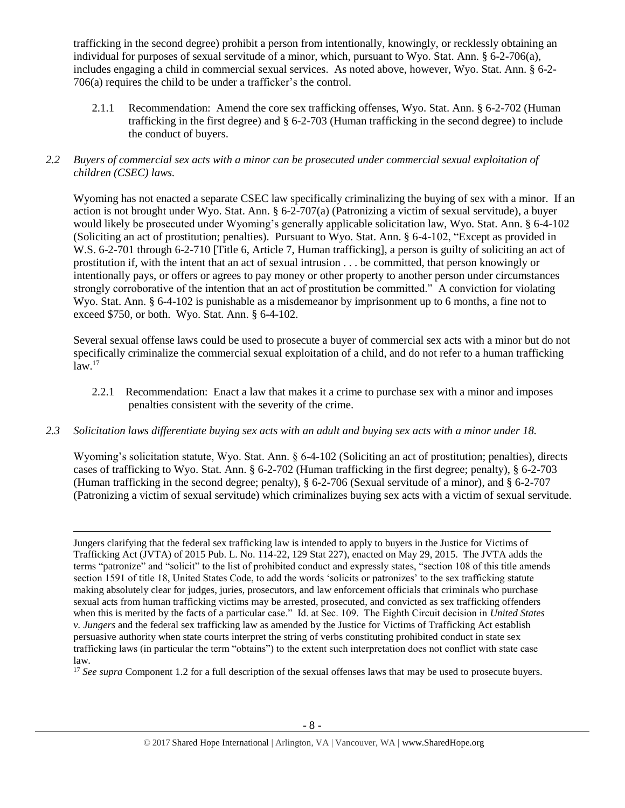trafficking in the second degree) prohibit a person from intentionally, knowingly, or recklessly obtaining an individual for purposes of sexual servitude of a minor, which, pursuant to Wyo. Stat. Ann. § 6-2-706(a), includes engaging a child in commercial sexual services. As noted above, however, Wyo. Stat. Ann. § 6-2- 706(a) requires the child to be under a trafficker's the control.

2.1.1 Recommendation: Amend the core sex trafficking offenses, Wyo. Stat. Ann. § 6-2-702 (Human trafficking in the first degree) and § 6-2-703 (Human trafficking in the second degree) to include the conduct of buyers.

# *2.2 Buyers of commercial sex acts with a minor can be prosecuted under commercial sexual exploitation of children (CSEC) laws.*

Wyoming has not enacted a separate CSEC law specifically criminalizing the buying of sex with a minor. If an action is not brought under Wyo. Stat. Ann. § 6-2-707(a) (Patronizing a victim of sexual servitude), a buyer would likely be prosecuted under Wyoming's generally applicable solicitation law, Wyo. Stat. Ann. § 6-4-102 (Soliciting an act of prostitution; penalties). Pursuant to Wyo. Stat. Ann. § 6-4-102, "Except as provided in W.S. 6-2-701 through 6-2-710 [Title 6, Article 7, Human trafficking], a person is guilty of soliciting an act of prostitution if, with the intent that an act of sexual intrusion . . . be committed, that person knowingly or intentionally pays, or offers or agrees to pay money or other property to another person under circumstances strongly corroborative of the intention that an act of prostitution be committed." A conviction for violating Wyo. Stat. Ann. § 6-4-102 is punishable as a misdemeanor by imprisonment up to 6 months, a fine not to exceed \$750, or both. Wyo. Stat. Ann. § 6-4-102.

Several sexual offense laws could be used to prosecute a buyer of commercial sex acts with a minor but do not specifically criminalize the commercial sexual exploitation of a child, and do not refer to a human trafficking  $law.<sup>17</sup>$ 

- 2.2.1 Recommendation: Enact a law that makes it a crime to purchase sex with a minor and imposes penalties consistent with the severity of the crime.
- *2.3 Solicitation laws differentiate buying sex acts with an adult and buying sex acts with a minor under 18.*

Wyoming's solicitation statute, Wyo. Stat. Ann.  $\frac{6-4-102}{2}$  (Soliciting an act of prostitution; penalties), directs cases of trafficking to Wyo. Stat. Ann. § 6-2-702 (Human trafficking in the first degree; penalty), § 6-2-703 (Human trafficking in the second degree; penalty), § 6-2-706 (Sexual servitude of a minor), and § 6-2-707 (Patronizing a victim of sexual servitude) which criminalizes buying sex acts with a victim of sexual servitude.

l Jungers clarifying that the federal sex trafficking law is intended to apply to buyers in the Justice for Victims of Trafficking Act (JVTA) of 2015 Pub. L. No. 114-22, 129 Stat 227), enacted on May 29, 2015. The JVTA adds the terms "patronize" and "solicit" to the list of prohibited conduct and expressly states, "section 108 of this title amends section 1591 of title 18, United States Code, to add the words 'solicits or patronizes' to the sex trafficking statute making absolutely clear for judges, juries, prosecutors, and law enforcement officials that criminals who purchase sexual acts from human trafficking victims may be arrested, prosecuted, and convicted as sex trafficking offenders when this is merited by the facts of a particular case." Id. at Sec. 109. The Eighth Circuit decision in *United States v. Jungers* and the federal sex trafficking law as amended by the Justice for Victims of Trafficking Act establish persuasive authority when state courts interpret the string of verbs constituting prohibited conduct in state sex trafficking laws (in particular the term "obtains") to the extent such interpretation does not conflict with state case law.

<sup>17</sup> See supra Component 1.2 for a full description of the sexual offenses laws that may be used to prosecute buyers.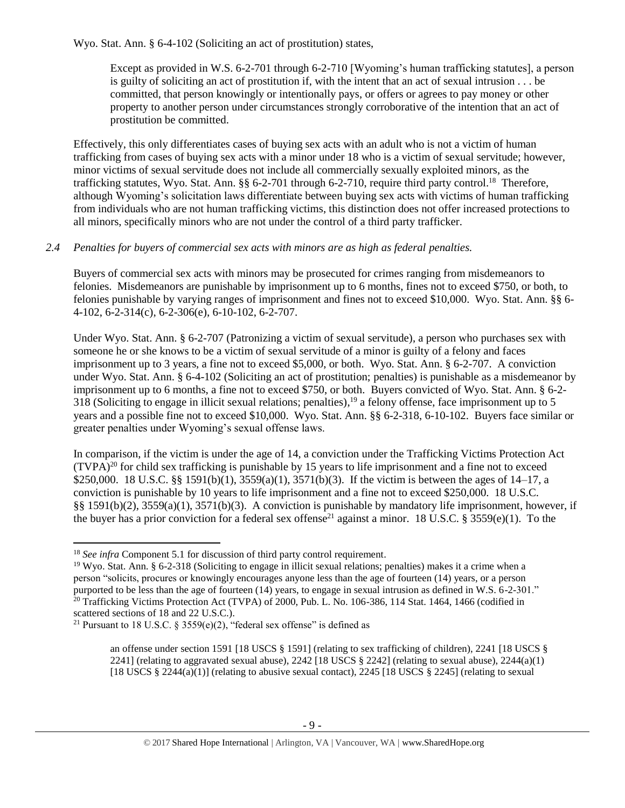Wyo. Stat. Ann. § 6-4-102 (Soliciting an act of prostitution) states,

Except as provided in W.S. 6-2-701 through 6-2-710 [Wyoming's human trafficking statutes], a person is guilty of soliciting an act of prostitution if, with the intent that an act of sexual intrusion . . . be committed, that person knowingly or intentionally pays, or offers or agrees to pay money or other property to another person under circumstances strongly corroborative of the intention that an act of prostitution be committed.

Effectively, this only differentiates cases of buying sex acts with an adult who is not a victim of human trafficking from cases of buying sex acts with a minor under 18 who is a victim of sexual servitude; however, minor victims of sexual servitude does not include all commercially sexually exploited minors, as the trafficking statutes, Wyo. Stat. Ann. §§ 6-2-701 through 6-2-710, require third party control.<sup>18</sup> Therefore, although Wyoming's solicitation laws differentiate between buying sex acts with victims of human trafficking from individuals who are not human trafficking victims, this distinction does not offer increased protections to all minors, specifically minors who are not under the control of a third party trafficker.

# *2.4 Penalties for buyers of commercial sex acts with minors are as high as federal penalties.*

Buyers of commercial sex acts with minors may be prosecuted for crimes ranging from misdemeanors to felonies. Misdemeanors are punishable by imprisonment up to 6 months, fines not to exceed \$750, or both, to felonies punishable by varying ranges of imprisonment and fines not to exceed \$10,000. Wyo. Stat. Ann. §§ 6- 4-102, 6-2-314(c), 6-2-306(e), 6-10-102, 6-2-707.

Under Wyo. Stat. Ann. § 6-2-707 (Patronizing a victim of sexual servitude), a person who purchases sex with someone he or she knows to be a victim of sexual servitude of a minor is guilty of a felony and faces imprisonment up to 3 years, a fine not to exceed \$5,000, or both. Wyo. Stat. Ann. § 6-2-707. A conviction under Wyo. Stat. Ann. § 6-4-102 (Soliciting an act of prostitution; penalties) is punishable as a misdemeanor by imprisonment up to 6 months, a fine not to exceed \$750, or both. Buyers convicted of Wyo. Stat. Ann. § 6-2- 318 (Soliciting to engage in illicit sexual relations; penalties),  $19$  a felony offense, face imprisonment up to 5 years and a possible fine not to exceed \$10,000. Wyo. Stat. Ann. §§ 6-2-318, 6-10-102. Buyers face similar or greater penalties under Wyoming's sexual offense laws.

<span id="page-8-0"></span>In comparison, if the victim is under the age of 14, a conviction under the Trafficking Victims Protection Act  $(TVPA)<sup>20</sup>$  for child sex trafficking is punishable by 15 years to life imprisonment and a fine not to exceed \$250,000. 18 U.S.C. §§ 1591(b)(1), 3559(a)(1), 3571(b)(3). If the victim is between the ages of 14–17, a conviction is punishable by 10 years to life imprisonment and a fine not to exceed \$250,000. 18 U.S.C. §§ 1591(b)(2), 3559(a)(1), 3571(b)(3). A conviction is punishable by mandatory life imprisonment, however, if the buyer has a prior conviction for a federal sex offense<sup>21</sup> against a minor. 18 U.S.C. § 3559(e)(1). To the

<span id="page-8-1"></span> $\overline{a}$ 

<sup>&</sup>lt;sup>18</sup> *See infra* Component 5.1 for discussion of third party control requirement.

<sup>19</sup> Wyo. Stat. Ann. § 6-2-318 (Soliciting to engage in illicit sexual relations; penalties) makes it a crime when a person "solicits, procures or knowingly encourages anyone less than the age of fourteen (14) years, or a person purported to be less than the age of fourteen (14) years, to engage in sexual intrusion as defined in W.S. 6-2-301."  $^{20}$  Trafficking Victims Protection Act (TVPA) of 2000, Pub. L. No. 106-386, 114 Stat. 1464, 1466 (codified in scattered sections of 18 and 22 U.S.C.).

<sup>&</sup>lt;sup>21</sup> Pursuant to 18 U.S.C. § 3559(e)(2), "federal sex offense" is defined as

an offense under section 1591 [18 USCS § 1591] (relating to sex trafficking of children), 2241 [18 USCS § 2241] (relating to aggravated sexual abuse), 2242 [18 USCS  $\S$  2242] (relating to sexual abuse), 2244(a)(1) [18 USCS  $\S$  2244(a)(1)] (relating to abusive sexual contact), 2245 [18 USCS  $\S$  2245] (relating to sexual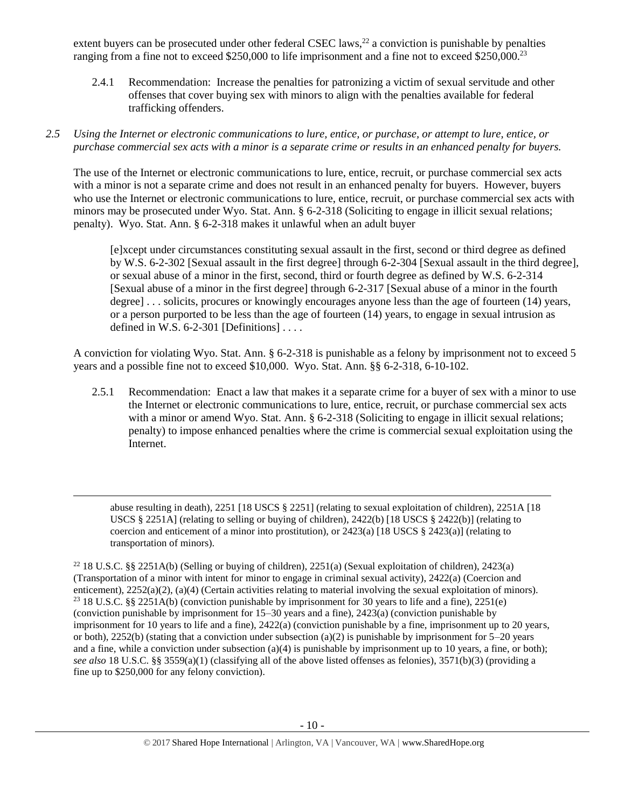extent buyers can be prosecuted under other federal CSEC laws,<sup>22</sup> a conviction is punishable by penalties ranging from a fine not to exceed \$250,000 to life imprisonment and a fine not to exceed \$250,000.<sup>23</sup>

2.4.1 Recommendation: Increase the penalties for patronizing a victim of sexual servitude and other offenses that cover buying sex with minors to align with the penalties available for federal trafficking offenders.

# *2.5 Using the Internet or electronic communications to lure, entice, or purchase, or attempt to lure, entice, or purchase commercial sex acts with a minor is a separate crime or results in an enhanced penalty for buyers.*

The use of the Internet or electronic communications to lure, entice, recruit, or purchase commercial sex acts with a minor is not a separate crime and does not result in an enhanced penalty for buyers. However, buyers who use the Internet or electronic communications to lure, entice, recruit, or purchase commercial sex acts with minors may be prosecuted under Wyo. Stat. Ann. § 6-2-318 (Soliciting to engage in illicit sexual relations; penalty). Wyo. Stat. Ann. § 6-2-318 makes it unlawful when an adult buyer

[e]xcept under circumstances constituting sexual assault in the first, second or third degree as defined by W.S. 6-2-302 [Sexual assault in the first degree] through 6-2-304 [Sexual assault in the third degree], or sexual abuse of a minor in the first, second, third or fourth degree as defined by W.S. 6-2-314 [Sexual abuse of a minor in the first degree] through 6-2-317 [Sexual abuse of a minor in the fourth degree] . . . solicits, procures or knowingly encourages anyone less than the age of fourteen (14) years, or a person purported to be less than the age of fourteen (14) years, to engage in sexual intrusion as defined in W.S.  $6-2-301$  [Definitions] ...

A conviction for violating Wyo. Stat. Ann. § 6-2-318 is punishable as a felony by imprisonment not to exceed 5 years and a possible fine not to exceed \$10,000. Wyo. Stat. Ann. §§ 6-2-318, 6-10-102.

2.5.1 Recommendation: Enact a law that makes it a separate crime for a buyer of sex with a minor to use the Internet or electronic communications to lure, entice, recruit, or purchase commercial sex acts with a minor or amend Wyo. Stat. Ann. § 6-2-318 (Soliciting to engage in illicit sexual relations; penalty) to impose enhanced penalties where the crime is commercial sexual exploitation using the Internet.

abuse resulting in death), 2251 [18 USCS § 2251] (relating to sexual exploitation of children), 2251A [18 USCS § 2251A] (relating to selling or buying of children), 2422(b) [18 USCS § 2422(b)] (relating to coercion and enticement of a minor into prostitution), or  $2423(a)$  [18 USCS §  $2423(a)$ ] (relating to transportation of minors).

l

<sup>22</sup> 18 U.S.C. §§ 2251A(b) (Selling or buying of children), 2251(a) (Sexual exploitation of children), 2423(a) (Transportation of a minor with intent for minor to engage in criminal sexual activity), 2422(a) (Coercion and enticement), 2252(a)(2), (a)(4) (Certain activities relating to material involving the sexual exploitation of minors). <sup>23</sup> 18 U.S.C. §§ 2251A(b) (conviction punishable by imprisonment for 30 years to life and a fine), 2251(e) (conviction punishable by imprisonment for 15–30 years and a fine), 2423(a) (conviction punishable by imprisonment for 10 years to life and a fine), 2422(a) (conviction punishable by a fine, imprisonment up to 20 years, or both), 2252(b) (stating that a conviction under subsection (a)(2) is punishable by imprisonment for  $5-20$  years and a fine, while a conviction under subsection (a)(4) is punishable by imprisonment up to 10 years, a fine, or both); *see also* 18 U.S.C. §§ 3559(a)(1) (classifying all of the above listed offenses as felonies), 3571(b)(3) (providing a fine up to \$250,000 for any felony conviction).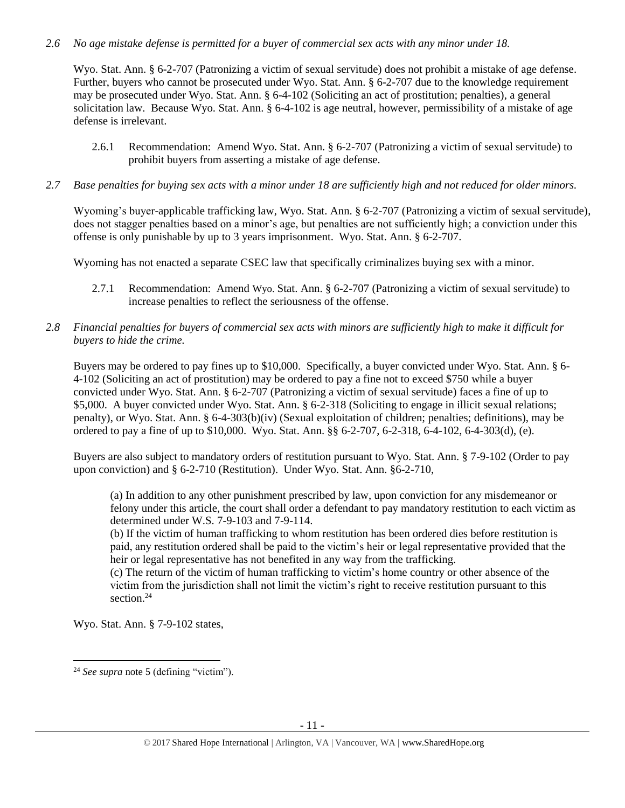# *2.6 No age mistake defense is permitted for a buyer of commercial sex acts with any minor under 18.*

Wyo. Stat. Ann. § 6-2-707 (Patronizing a victim of sexual servitude) does not prohibit a mistake of age defense. Further, buyers who cannot be prosecuted under Wyo. Stat. Ann. § 6-2-707 due to the knowledge requirement may be prosecuted under Wyo. Stat. Ann. § 6-4-102 (Soliciting an act of prostitution; penalties), a general solicitation law. Because Wyo. Stat. Ann. § 6-4-102 is age neutral, however, permissibility of a mistake of age defense is irrelevant.

- 2.6.1 Recommendation: Amend Wyo. Stat. Ann. § 6-2-707 (Patronizing a victim of sexual servitude) to prohibit buyers from asserting a mistake of age defense.
- *2.7 Base penalties for buying sex acts with a minor under 18 are sufficiently high and not reduced for older minors.*

Wyoming's buyer-applicable trafficking law, Wyo. Stat. Ann. § 6-2-707 (Patronizing a victim of sexual servitude), does not stagger penalties based on a minor's age, but penalties are not sufficiently high; a conviction under this offense is only punishable by up to 3 years imprisonment. Wyo. Stat. Ann. § 6-2-707.

Wyoming has not enacted a separate CSEC law that specifically criminalizes buying sex with a minor.

- 2.7.1 Recommendation: Amend Wyo. Stat. Ann. § 6-2-707 (Patronizing a victim of sexual servitude) to increase penalties to reflect the seriousness of the offense.
- *2.8 Financial penalties for buyers of commercial sex acts with minors are sufficiently high to make it difficult for buyers to hide the crime.*

Buyers may be ordered to pay fines up to \$10,000. Specifically, a buyer convicted under Wyo. Stat. Ann. § 6- 4-102 (Soliciting an act of prostitution) may be ordered to pay a fine not to exceed \$750 while a buyer convicted under Wyo. Stat. Ann. § 6-2-707 (Patronizing a victim of sexual servitude) faces a fine of up to \$5,000. A buyer convicted under Wyo. Stat. Ann. § 6-2-318 (Soliciting to engage in illicit sexual relations; penalty), or Wyo. Stat. Ann. § 6-4-303(b)(iv) (Sexual exploitation of children; penalties; definitions), may be ordered to pay a fine of up to \$10,000. Wyo. Stat. Ann. §§ 6-2-707, 6-2-318, 6-4-102, 6-4-303(d), (e).

Buyers are also subject to mandatory orders of restitution pursuant to Wyo. Stat. Ann. § 7-9-102 (Order to pay upon conviction) and § 6-2-710 (Restitution). Under Wyo. Stat. Ann. §6-2-710,

(a) In addition to any other punishment prescribed by law, upon conviction for any misdemeanor or felony under this article, the court shall order a defendant to pay mandatory restitution to each victim as determined under W.S. 7-9-103 and 7-9-114.

(b) If the victim of human trafficking to whom restitution has been ordered dies before restitution is paid, any restitution ordered shall be paid to the victim's heir or legal representative provided that the heir or legal representative has not benefited in any way from the trafficking.

(c) The return of the victim of human trafficking to victim's home country or other absence of the victim from the jurisdiction shall not limit the victim's right to receive restitution pursuant to this section.<sup>24</sup>

Wyo. Stat. Ann. § 7-9-102 states,

<sup>24</sup> *See supra* note [5](#page-1-0) (defining "victim").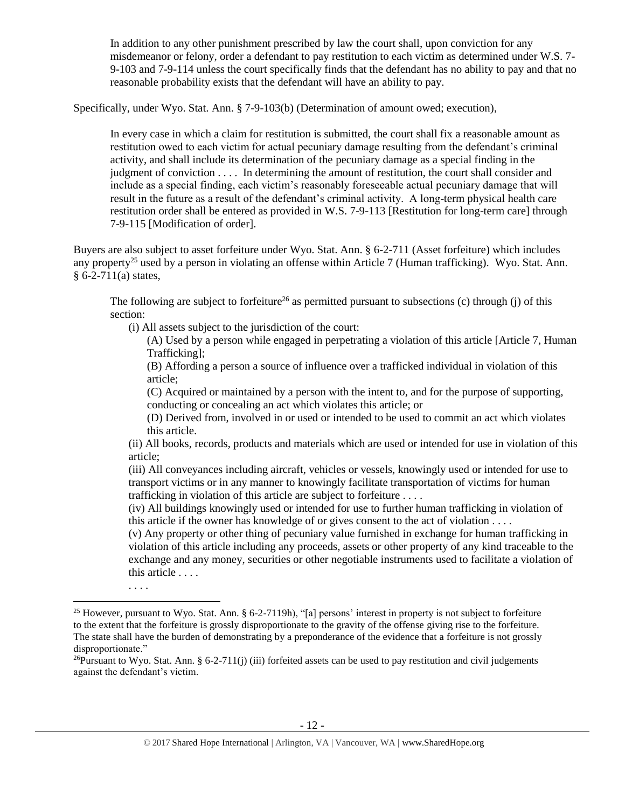In addition to any other punishment prescribed by law the court shall, upon conviction for any misdemeanor or felony, order a defendant to pay restitution to each victim as determined under W.S. 7- 9-103 and 7-9-114 unless the court specifically finds that the defendant has no ability to pay and that no reasonable probability exists that the defendant will have an ability to pay.

Specifically, under Wyo. Stat. Ann. § 7-9-103(b) (Determination of amount owed; execution),

In every case in which a claim for restitution is submitted, the court shall fix a reasonable amount as restitution owed to each victim for actual pecuniary damage resulting from the defendant's criminal activity, and shall include its determination of the pecuniary damage as a special finding in the judgment of conviction . . . . In determining the amount of restitution, the court shall consider and include as a special finding, each victim's reasonably foreseeable actual pecuniary damage that will result in the future as a result of the defendant's criminal activity. A long-term physical health care restitution order shall be entered as provided in W.S. 7-9-113 [Restitution for long-term care] through 7-9-115 [Modification of order].

Buyers are also subject to asset forfeiture under Wyo. Stat. Ann. § 6-2-711 (Asset forfeiture) which includes any property<sup>25</sup> used by a person in violating an offense within Article 7 (Human trafficking). Wyo. Stat. Ann.  $§ 6-2-711(a)$  states,

<span id="page-11-0"></span>The following are subject to forfeiture<sup>26</sup> as permitted pursuant to subsections (c) through (j) of this section:

(i) All assets subject to the jurisdiction of the court:

. . . .

 $\overline{\phantom{a}}$ 

(A) Used by a person while engaged in perpetrating a violation of this article [Article 7, Human Trafficking];

(B) Affording a person a source of influence over a trafficked individual in violation of this article;

(C) Acquired or maintained by a person with the intent to, and for the purpose of supporting, conducting or concealing an act which violates this article; or

(D) Derived from, involved in or used or intended to be used to commit an act which violates this article.

(ii) All books, records, products and materials which are used or intended for use in violation of this article;

(iii) All conveyances including aircraft, vehicles or vessels, knowingly used or intended for use to transport victims or in any manner to knowingly facilitate transportation of victims for human trafficking in violation of this article are subject to forfeiture . . . .

(iv) All buildings knowingly used or intended for use to further human trafficking in violation of this article if the owner has knowledge of or gives consent to the act of violation . . . .

(v) Any property or other thing of pecuniary value furnished in exchange for human trafficking in violation of this article including any proceeds, assets or other property of any kind traceable to the exchange and any money, securities or other negotiable instruments used to facilitate a violation of this article . . . .

<sup>&</sup>lt;sup>25</sup> However, pursuant to Wyo. Stat. Ann. § 6-2-7119h), "[a] persons' interest in property is not subject to forfeiture to the extent that the forfeiture is grossly disproportionate to the gravity of the offense giving rise to the forfeiture. The state shall have the burden of demonstrating by a preponderance of the evidence that a forfeiture is not grossly disproportionate."

<sup>&</sup>lt;sup>26</sup>Pursuant to Wyo. Stat. Ann. § 6-2-711(j) (iii) forfeited assets can be used to pay restitution and civil judgements against the defendant's victim.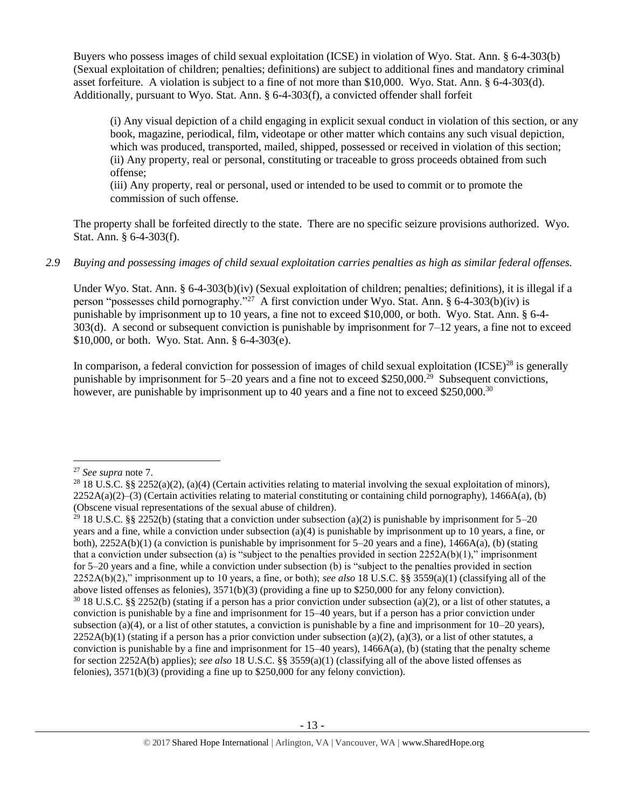Buyers who possess images of child sexual exploitation (ICSE) in violation of Wyo. Stat. Ann. § 6-4-303(b) (Sexual exploitation of children; penalties; definitions) are subject to additional fines and mandatory criminal asset forfeiture. A violation is subject to a fine of not more than \$10,000. Wyo. Stat. Ann. § 6-4-303(d). Additionally, pursuant to Wyo. Stat. Ann. § 6-4-303(f), a convicted offender shall forfeit

(i) Any visual depiction of a child engaging in explicit sexual conduct in violation of this section, or any book, magazine, periodical, film, videotape or other matter which contains any such visual depiction, which was produced, transported, mailed, shipped, possessed or received in violation of this section; (ii) Any property, real or personal, constituting or traceable to gross proceeds obtained from such offense;

(iii) Any property, real or personal, used or intended to be used to commit or to promote the commission of such offense.

The property shall be forfeited directly to the state. There are no specific seizure provisions authorized. Wyo. Stat. Ann. § 6-4-303(f).

# *2.9 Buying and possessing images of child sexual exploitation carries penalties as high as similar federal offenses.*

Under Wyo. Stat. Ann. § 6-4-303(b)(iv) (Sexual exploitation of children; penalties; definitions), it is illegal if a person "possesses child pornography."<sup>27</sup> A first conviction under Wyo. Stat. Ann. § 6-4-303(b)(iv) is punishable by imprisonment up to 10 years, a fine not to exceed \$10,000, or both. Wyo. Stat. Ann. § 6-4- 303(d). A second or subsequent conviction is punishable by imprisonment for  $7-12$  years, a fine not to exceed \$10,000, or both. Wyo. Stat. Ann. § 6-4-303(e).

In comparison, a federal conviction for possession of images of child sexual exploitation (ICSE)<sup>28</sup> is generally punishable by imprisonment for 5–20 years and a fine not to exceed \$250,000.<sup>29</sup> Subsequent convictions, however, are punishable by imprisonment up to 40 years and a fine not to exceed \$250,000.<sup>30</sup>

<sup>27</sup> *See supra* note [7.](#page-1-1)

<sup>&</sup>lt;sup>28</sup> 18 U.S.C. §§ 2252(a)(2), (a)(4) (Certain activities relating to material involving the sexual exploitation of minors),  $2252A(a)(2)$ –(3) (Certain activities relating to material constituting or containing child pornography), 1466A(a), (b) (Obscene visual representations of the sexual abuse of children).

<sup>&</sup>lt;sup>29</sup> 18 U.S.C. §§ 2252(b) (stating that a conviction under subsection (a)(2) is punishable by imprisonment for 5–20 years and a fine, while a conviction under subsection (a)(4) is punishable by imprisonment up to 10 years, a fine, or both),  $2252A(b)(1)$  (a conviction is punishable by imprisonment for 5–20 years and a fine),  $1466A(a)$ , (b) (stating that a conviction under subsection (a) is "subject to the penalties provided in section  $2252A(b)(1)$ ," imprisonment for 5–20 years and a fine, while a conviction under subsection (b) is "subject to the penalties provided in section 2252A(b)(2)," imprisonment up to 10 years, a fine, or both); *see also* 18 U.S.C. §§ 3559(a)(1) (classifying all of the above listed offenses as felonies), 3571(b)(3) (providing a fine up to \$250,000 for any felony conviction).  $30\,18$  U.S.C. §§ 2252(b) (stating if a person has a prior conviction under subsection (a)(2), or a list of other statutes, a conviction is punishable by a fine and imprisonment for 15–40 years, but if a person has a prior conviction under subsection (a)(4), or a list of other statutes, a conviction is punishable by a fine and imprisonment for  $10-20$  years),  $2252A(b)(1)$  (stating if a person has a prior conviction under subsection (a)(2), (a)(3), or a list of other statutes, a conviction is punishable by a fine and imprisonment for  $15-40$  years),  $1466A(a)$ , (b) (stating that the penalty scheme for section 2252A(b) applies); *see also* 18 U.S.C. §§ 3559(a)(1) (classifying all of the above listed offenses as felonies), 3571(b)(3) (providing a fine up to \$250,000 for any felony conviction).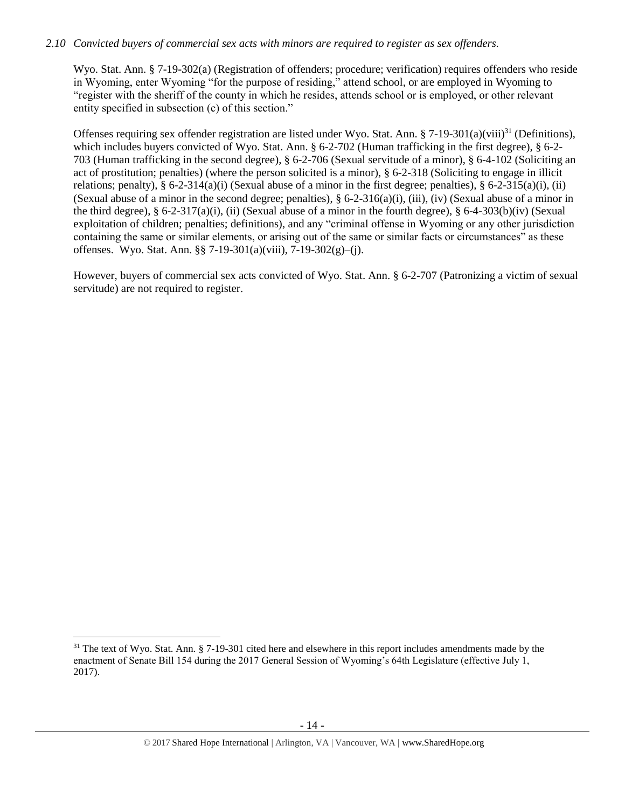# *2.10 Convicted buyers of commercial sex acts with minors are required to register as sex offenders.*

Wyo. Stat. Ann. § 7-19-302(a) (Registration of offenders; procedure; verification) requires offenders who reside in Wyoming, enter Wyoming "for the purpose of residing," attend school, or are employed in Wyoming to "register with the sheriff of the county in which he resides, attends school or is employed, or other relevant entity specified in subsection (c) of this section."

<span id="page-13-0"></span>Offenses requiring sex offender registration are listed under Wyo. Stat. Ann. § 7-19-301(a)(viii)<sup>31</sup> (Definitions), which includes buyers convicted of Wyo. Stat. Ann. § 6-2-702 (Human trafficking in the first degree), § 6-2-703 (Human trafficking in the second degree), § 6-2-706 (Sexual servitude of a minor), § 6-4-102 (Soliciting an act of prostitution; penalties) (where the person solicited is a minor), § 6-2-318 (Soliciting to engage in illicit relations; penalty), § 6-2-314(a)(i) (Sexual abuse of a minor in the first degree; penalties), § 6-2-315(a)(i), (ii) (Sexual abuse of a minor in the second degree; penalties),  $\S$  6-2-316(a)(i), (iii), (iv) (Sexual abuse of a minor in the third degree),  $\S 6-2-317(a)(i)$ , (ii) (Sexual abuse of a minor in the fourth degree),  $\S 6-4-303(b)(iv)$  (Sexual exploitation of children; penalties; definitions), and any "criminal offense in Wyoming or any other jurisdiction containing the same or similar elements, or arising out of the same or similar facts or circumstances" as these offenses. Wyo. Stat. Ann. §§ 7-19-301(a)(viii), 7-19-302(g)–(j).

However, buyers of commercial sex acts convicted of Wyo. Stat. Ann. § 6-2-707 (Patronizing a victim of sexual servitude) are not required to register.

 $31$  The text of Wyo. Stat. Ann. § 7-19-301 cited here and elsewhere in this report includes amendments made by the enactment of Senate Bill 154 during the 2017 General Session of Wyoming's 64th Legislature (effective July 1, 2017).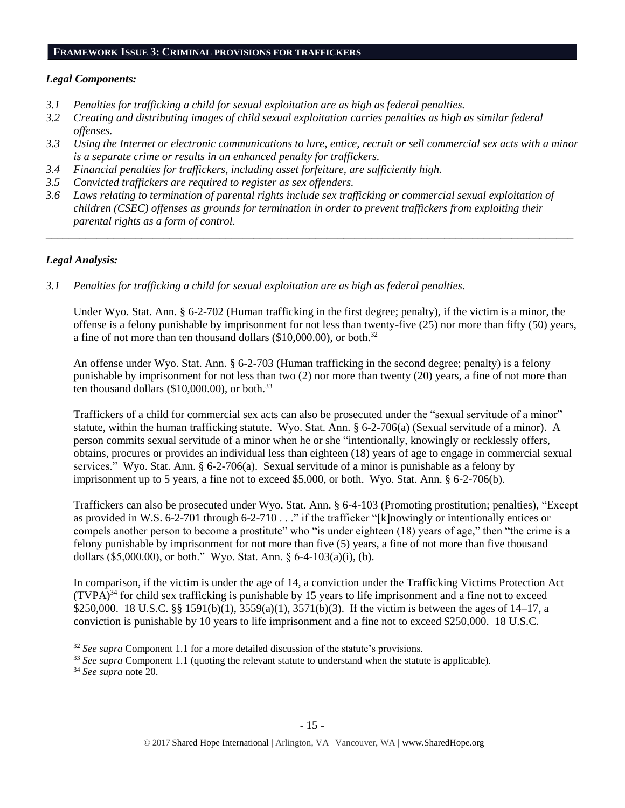### **FRAMEWORK ISSUE 3: CRIMINAL PROVISIONS FOR TRAFFICKERS**

# *Legal Components:*

- *3.1 Penalties for trafficking a child for sexual exploitation are as high as federal penalties.*
- *3.2 Creating and distributing images of child sexual exploitation carries penalties as high as similar federal offenses.*
- *3.3 Using the Internet or electronic communications to lure, entice, recruit or sell commercial sex acts with a minor is a separate crime or results in an enhanced penalty for traffickers.*
- *3.4 Financial penalties for traffickers, including asset forfeiture, are sufficiently high.*
- *3.5 Convicted traffickers are required to register as sex offenders.*
- *3.6 Laws relating to termination of parental rights include sex trafficking or commercial sexual exploitation of children (CSEC) offenses as grounds for termination in order to prevent traffickers from exploiting their parental rights as a form of control.*

*\_\_\_\_\_\_\_\_\_\_\_\_\_\_\_\_\_\_\_\_\_\_\_\_\_\_\_\_\_\_\_\_\_\_\_\_\_\_\_\_\_\_\_\_\_\_\_\_\_\_\_\_\_\_\_\_\_\_\_\_\_\_\_\_\_\_\_\_\_\_\_\_\_\_\_\_\_\_\_\_\_\_\_\_\_\_\_\_\_\_\_\_\_\_*

# *Legal Analysis:*

*3.1 Penalties for trafficking a child for sexual exploitation are as high as federal penalties.* 

Under Wyo. Stat. Ann. § 6-2-702 (Human trafficking in the first degree; penalty), if the victim is a minor, the offense is a felony punishable by imprisonment for not less than twenty-five (25) nor more than fifty (50) years, a fine of not more than ten thousand dollars  $(\$10,000.00)$ , or both.<sup>32</sup>

An offense under Wyo. Stat. Ann. § 6-2-703 (Human trafficking in the second degree; penalty) is a felony punishable by imprisonment for not less than two (2) nor more than twenty (20) years, a fine of not more than ten thousand dollars  $(\$10,000,00)$ , or both.<sup>33</sup>

Traffickers of a child for commercial sex acts can also be prosecuted under the "sexual servitude of a minor" statute, within the human trafficking statute. Wyo. Stat. Ann. § 6-2-706(a) (Sexual servitude of a minor). A person commits sexual servitude of a minor when he or she "intentionally, knowingly or recklessly offers, obtains, procures or provides an individual less than eighteen (18) years of age to engage in commercial sexual services." Wyo. Stat. Ann. § 6-2-706(a). Sexual servitude of a minor is punishable as a felony by imprisonment up to 5 years, a fine not to exceed \$5,000, or both. Wyo. Stat. Ann. § 6-2-706(b).

Traffickers can also be prosecuted under Wyo. Stat. Ann. § 6-4-103 (Promoting prostitution; penalties), "Except as provided in W.S. 6-2-701 through 6-2-710 . . ." if the trafficker "[k]nowingly or intentionally entices or compels another person to become a prostitute" who "is under eighteen (18) years of age," then "the crime is a felony punishable by imprisonment for not more than five (5) years, a fine of not more than five thousand dollars (\$5,000.00), or both." Wyo. Stat. Ann. § 6-4-103(a)(i), (b).

In comparison, if the victim is under the age of 14, a conviction under the Trafficking Victims Protection Act  $(TVPA)<sup>34</sup>$  for child sex trafficking is punishable by 15 years to life imprisonment and a fine not to exceed \$250,000. 18 U.S.C. §§ 1591(b)(1), 3559(a)(1), 3571(b)(3). If the victim is between the ages of 14–17, a conviction is punishable by 10 years to life imprisonment and a fine not to exceed \$250,000. 18 U.S.C.

<sup>&</sup>lt;sup>32</sup> *See supra* Component 1.1 for a more detailed discussion of the statute's provisions.

<sup>&</sup>lt;sup>33</sup> See supra Component 1.1 (quoting the relevant statute to understand when the statute is applicable).

<sup>34</sup> *See supra* note [20.](#page-8-0)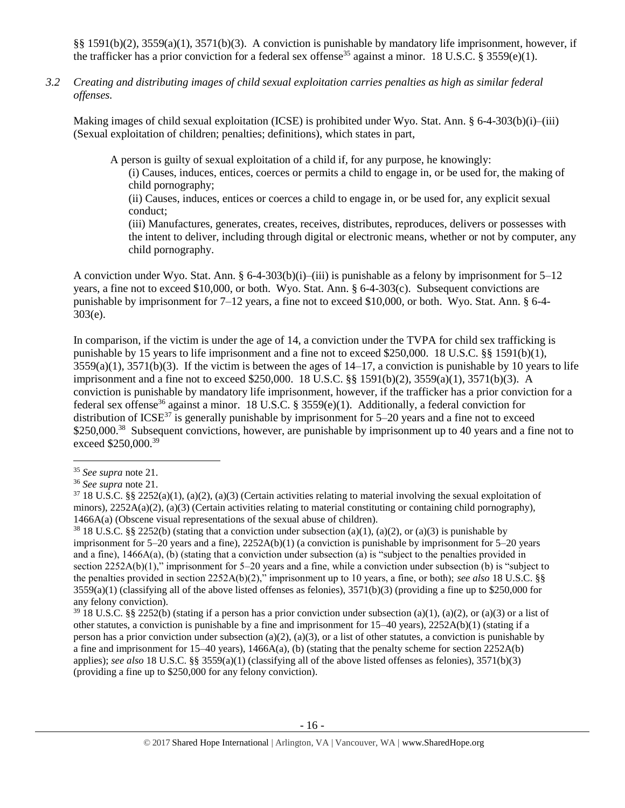§§ 1591(b)(2), 3559(a)(1), 3571(b)(3). A conviction is punishable by mandatory life imprisonment, however, if the trafficker has a prior conviction for a federal sex offense<sup>35</sup> against a minor. 18 U.S.C. § 3559(e)(1).

*3.2 Creating and distributing images of child sexual exploitation carries penalties as high as similar federal offenses.*

Making images of child sexual exploitation (ICSE) is prohibited under Wyo. Stat. Ann. § 6-4-303(b)(i)–(iii) (Sexual exploitation of children; penalties; definitions), which states in part,

A person is guilty of sexual exploitation of a child if, for any purpose, he knowingly:

(i) Causes, induces, entices, coerces or permits a child to engage in, or be used for, the making of child pornography;

(ii) Causes, induces, entices or coerces a child to engage in, or be used for, any explicit sexual conduct;

(iii) Manufactures, generates, creates, receives, distributes, reproduces, delivers or possesses with the intent to deliver, including through digital or electronic means, whether or not by computer, any child pornography.

A conviction under Wyo. Stat. Ann. § 6-4-303(b)(i)–(iii) is punishable as a felony by imprisonment for  $5-12$ years, a fine not to exceed \$10,000, or both. Wyo. Stat. Ann. § 6-4-303(c). Subsequent convictions are punishable by imprisonment for 7–12 years, a fine not to exceed \$10,000, or both. Wyo. Stat. Ann. § 6-4- 303(e).

In comparison, if the victim is under the age of 14, a conviction under the TVPA for child sex trafficking is punishable by 15 years to life imprisonment and a fine not to exceed \$250,000. 18 U.S.C. §§ 1591(b)(1),  $3559(a)(1)$ ,  $3571(b)(3)$ . If the victim is between the ages of  $14-17$ , a conviction is punishable by 10 years to life imprisonment and a fine not to exceed \$250,000. 18 U.S.C. §§ 1591(b)(2), 3559(a)(1), 3571(b)(3). A conviction is punishable by mandatory life imprisonment, however, if the trafficker has a prior conviction for a federal sex offense<sup>36</sup> against a minor. 18 U.S.C. § 3559(e)(1). Additionally, a federal conviction for distribution of ICSE<sup>37</sup> is generally punishable by imprisonment for  $5-20$  years and a fine not to exceed \$250,000.<sup>38</sup> Subsequent convictions, however, are punishable by imprisonment up to 40 years and a fine not to exceed \$250,000.<sup>39</sup>

<sup>35</sup> *See supra* note [21.](#page-8-1)

<sup>36</sup> *See supra* note [21.](#page-8-1)

 $37$  18 U.S.C. §§ 2252(a)(1), (a)(2), (a)(3) (Certain activities relating to material involving the sexual exploitation of minors),  $2252A(a)(2)$ , (a)(3) (Certain activities relating to material constituting or containing child pornography), 1466A(a) (Obscene visual representations of the sexual abuse of children).

<sup>&</sup>lt;sup>38</sup> 18 U.S.C. §§ 2252(b) (stating that a conviction under subsection (a)(1), (a)(2), or (a)(3) is punishable by imprisonment for 5–20 years and a fine), 2252A(b)(1) (a conviction is punishable by imprisonment for 5–20 years and a fine), 1466A(a), (b) (stating that a conviction under subsection (a) is "subject to the penalties provided in section 2252A(b)(1)," imprisonment for 5–20 years and a fine, while a conviction under subsection (b) is "subject to the penalties provided in section 2252A(b)(2)," imprisonment up to 10 years, a fine, or both); *see also* 18 U.S.C. §§  $3559(a)(1)$  (classifying all of the above listed offenses as felonies),  $3571(b)(3)$  (providing a fine up to \$250,000 for any felony conviction).

 $39\,18$  U.S.C. §§ 2252(b) (stating if a person has a prior conviction under subsection (a)(1), (a)(2), or (a)(3) or a list of other statutes, a conviction is punishable by a fine and imprisonment for 15–40 years), 2252A(b)(1) (stating if a person has a prior conviction under subsection (a)(2), (a)(3), or a list of other statutes, a conviction is punishable by a fine and imprisonment for  $15-40$  years),  $1466A(a)$ , (b) (stating that the penalty scheme for section  $2252A(b)$ applies); *see also* 18 U.S.C. §§ 3559(a)(1) (classifying all of the above listed offenses as felonies), 3571(b)(3) (providing a fine up to \$250,000 for any felony conviction).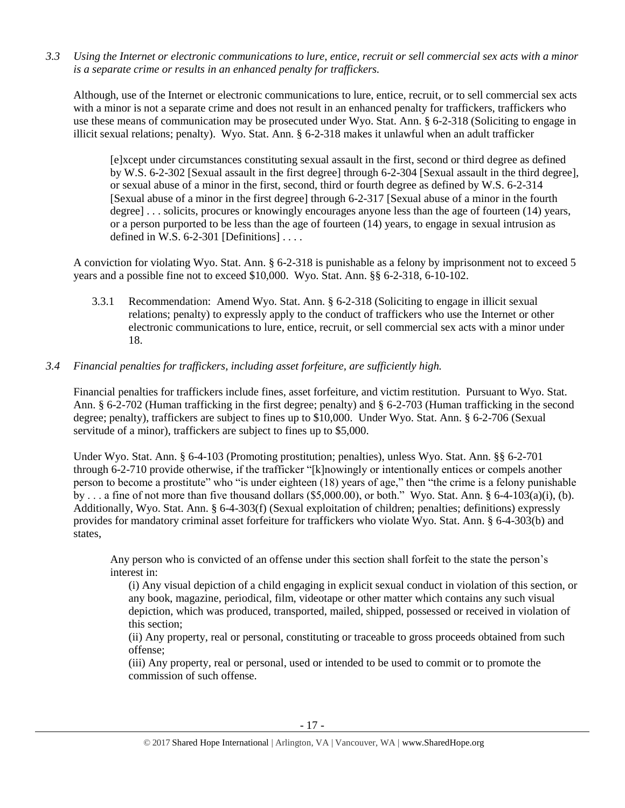*3.3 Using the Internet or electronic communications to lure, entice, recruit or sell commercial sex acts with a minor is a separate crime or results in an enhanced penalty for traffickers.*

Although, use of the Internet or electronic communications to lure, entice, recruit, or to sell commercial sex acts with a minor is not a separate crime and does not result in an enhanced penalty for traffickers, traffickers who use these means of communication may be prosecuted under Wyo. Stat. Ann. § 6-2-318 (Soliciting to engage in illicit sexual relations; penalty). Wyo. Stat. Ann. § 6-2-318 makes it unlawful when an adult trafficker

[e]xcept under circumstances constituting sexual assault in the first, second or third degree as defined by W.S. 6-2-302 [Sexual assault in the first degree] through 6-2-304 [Sexual assault in the third degree], or sexual abuse of a minor in the first, second, third or fourth degree as defined by W.S. 6-2-314 [Sexual abuse of a minor in the first degree] through 6-2-317 [Sexual abuse of a minor in the fourth degree] . . . solicits, procures or knowingly encourages anyone less than the age of fourteen (14) years, or a person purported to be less than the age of fourteen (14) years, to engage in sexual intrusion as defined in W.S.  $6-2-301$  [Definitions] ...

A conviction for violating Wyo. Stat. Ann. § 6-2-318 is punishable as a felony by imprisonment not to exceed 5 years and a possible fine not to exceed \$10,000. Wyo. Stat. Ann. §§ 6-2-318, 6-10-102.

3.3.1 Recommendation: Amend Wyo. Stat. Ann. § 6-2-318 (Soliciting to engage in illicit sexual relations; penalty) to expressly apply to the conduct of traffickers who use the Internet or other electronic communications to lure, entice, recruit, or sell commercial sex acts with a minor under 18.

# *3.4 Financial penalties for traffickers, including asset forfeiture, are sufficiently high.*

Financial penalties for traffickers include fines, asset forfeiture, and victim restitution. Pursuant to Wyo. Stat. Ann. § 6-2-702 (Human trafficking in the first degree; penalty) and § 6-2-703 (Human trafficking in the second degree; penalty), traffickers are subject to fines up to \$10,000. Under Wyo. Stat. Ann. § 6-2-706 (Sexual servitude of a minor), traffickers are subject to fines up to \$5,000.

Under Wyo. Stat. Ann. § 6-4-103 (Promoting prostitution; penalties), unless Wyo. Stat. Ann. §§ 6-2-701 through 6-2-710 provide otherwise, if the trafficker "[k]nowingly or intentionally entices or compels another person to become a prostitute" who "is under eighteen (18) years of age," then "the crime is a felony punishable by ... a fine of not more than five thousand dollars (\$5,000.00), or both." Wyo. Stat. Ann. § 6-4-103(a)(i), (b). Additionally, Wyo. Stat. Ann. § 6-4-303(f) (Sexual exploitation of children; penalties; definitions) expressly provides for mandatory criminal asset forfeiture for traffickers who violate Wyo. Stat. Ann. § 6-4-303(b) and states,

Any person who is convicted of an offense under this section shall forfeit to the state the person's interest in:

(i) Any visual depiction of a child engaging in explicit sexual conduct in violation of this section, or any book, magazine, periodical, film, videotape or other matter which contains any such visual depiction, which was produced, transported, mailed, shipped, possessed or received in violation of this section;

(ii) Any property, real or personal, constituting or traceable to gross proceeds obtained from such offense;

(iii) Any property, real or personal, used or intended to be used to commit or to promote the commission of such offense.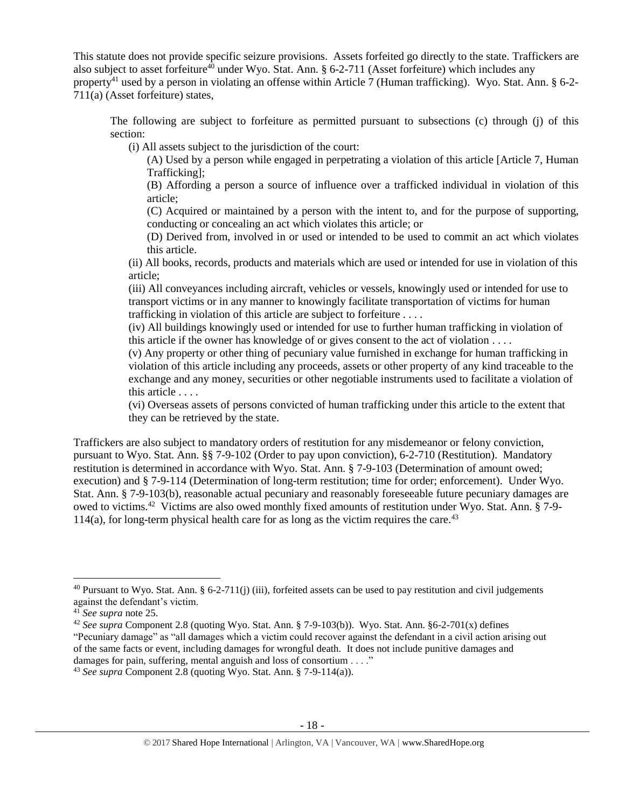This statute does not provide specific seizure provisions. Assets forfeited go directly to the state. Traffickers are also subject to asset forfeiture<sup>40</sup> under Wyo. Stat. Ann.  $\S 6-2-711$  (Asset forfeiture) which includes any property<sup>41</sup> used by a person in violating an offense within Article 7 (Human trafficking). Wyo. Stat. Ann. § 6-2-711(a) (Asset forfeiture) states,

The following are subject to forfeiture as permitted pursuant to subsections (c) through (j) of this section:

(i) All assets subject to the jurisdiction of the court:

(A) Used by a person while engaged in perpetrating a violation of this article [Article 7, Human Trafficking];

(B) Affording a person a source of influence over a trafficked individual in violation of this article;

(C) Acquired or maintained by a person with the intent to, and for the purpose of supporting, conducting or concealing an act which violates this article; or

(D) Derived from, involved in or used or intended to be used to commit an act which violates this article.

(ii) All books, records, products and materials which are used or intended for use in violation of this article;

(iii) All conveyances including aircraft, vehicles or vessels, knowingly used or intended for use to transport victims or in any manner to knowingly facilitate transportation of victims for human trafficking in violation of this article are subject to forfeiture . . . .

(iv) All buildings knowingly used or intended for use to further human trafficking in violation of this article if the owner has knowledge of or gives consent to the act of violation . . . .

(v) Any property or other thing of pecuniary value furnished in exchange for human trafficking in violation of this article including any proceeds, assets or other property of any kind traceable to the exchange and any money, securities or other negotiable instruments used to facilitate a violation of this article . . . .

(vi) Overseas assets of persons convicted of human trafficking under this article to the extent that they can be retrieved by the state.

Traffickers are also subject to mandatory orders of restitution for any misdemeanor or felony conviction, pursuant to Wyo. Stat. Ann. §§ 7-9-102 (Order to pay upon conviction), 6-2-710 (Restitution). Mandatory restitution is determined in accordance with Wyo. Stat. Ann. § 7-9-103 (Determination of amount owed; execution) and § 7-9-114 (Determination of long-term restitution; time for order; enforcement). Under Wyo. Stat. Ann. § 7-9-103(b), reasonable actual pecuniary and reasonably foreseeable future pecuniary damages are owed to victims.<sup>42</sup> Victims are also owed monthly fixed amounts of restitution under Wyo. Stat. Ann. § 7-9- 114(a), for long-term physical health care for as long as the victim requires the care.<sup>43</sup>

<sup>&</sup>lt;sup>40</sup> Pursuant to Wyo. Stat. Ann. § 6-2-711(j) (iii), forfeited assets can be used to pay restitution and civil judgements against the defendant's victim.

<sup>41</sup> *See supra* note [25.](#page-11-0)

<sup>42</sup> *See supra* Component 2.8 (quoting Wyo. Stat. Ann. § 7-9-103(b)). Wyo. Stat. Ann. §6-2-701(x) defines

<sup>&</sup>quot;Pecuniary damage" as "all damages which a victim could recover against the defendant in a civil action arising out of the same facts or event, including damages for wrongful death. It does not include punitive damages and damages for pain, suffering, mental anguish and loss of consortium . . . ."

<sup>43</sup> *See supra* Component 2.8 (quoting Wyo. Stat. Ann. § 7-9-114(a)).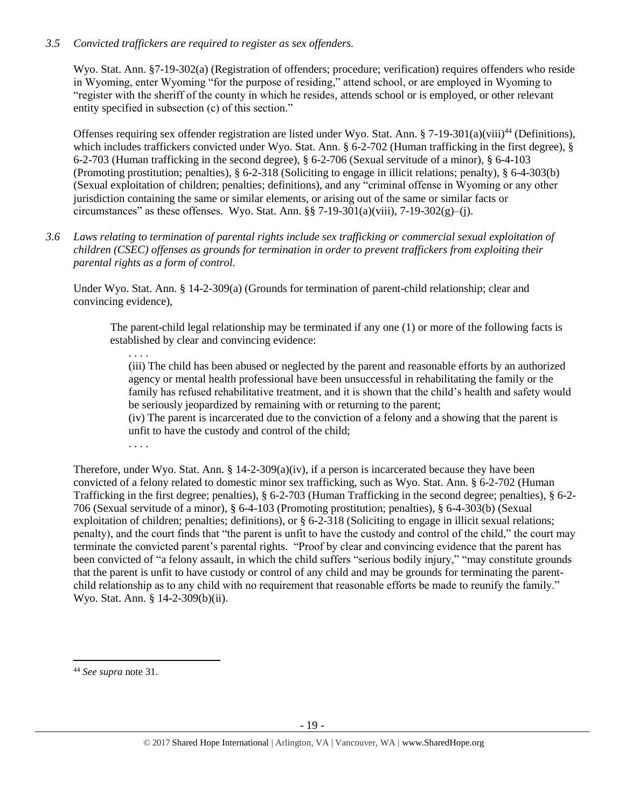# *3.5 Convicted traffickers are required to register as sex offenders.*

Wyo. Stat. Ann. §7-19-302(a) (Registration of offenders; procedure; verification) requires offenders who reside in Wyoming, enter Wyoming "for the purpose of residing," attend school, or are employed in Wyoming to "register with the sheriff of the county in which he resides, attends school or is employed, or other relevant entity specified in subsection (c) of this section."

Offenses requiring sex offender registration are listed under Wyo. Stat. Ann. § 7-19-301(a)(viii)<sup>44</sup> (Definitions), which includes traffickers convicted under Wyo. Stat. Ann. § 6-2-702 (Human trafficking in the first degree), § 6-2-703 (Human trafficking in the second degree), § 6-2-706 (Sexual servitude of a minor), § 6-4-103 (Promoting prostitution; penalties), § 6-2-318 (Soliciting to engage in illicit relations; penalty), § 6-4-303(b) (Sexual exploitation of children; penalties; definitions), and any "criminal offense in Wyoming or any other jurisdiction containing the same or similar elements, or arising out of the same or similar facts or circumstances" as these offenses. Wyo. Stat. Ann.  $\S$ § 7-19-301(a)(viii), 7-19-302(g)–(j).

*3.6 Laws relating to termination of parental rights include sex trafficking or commercial sexual exploitation of children (CSEC) offenses as grounds for termination in order to prevent traffickers from exploiting their parental rights as a form of control.*

Under Wyo. Stat. Ann. § 14-2-309(a) (Grounds for termination of parent-child relationship; clear and convincing evidence),

The parent-child legal relationship may be terminated if any one (1) or more of the following facts is established by clear and convincing evidence:

. . . . (iii) The child has been abused or neglected by the parent and reasonable efforts by an authorized agency or mental health professional have been unsuccessful in rehabilitating the family or the family has refused rehabilitative treatment, and it is shown that the child's health and safety would be seriously jeopardized by remaining with or returning to the parent;

(iv) The parent is incarcerated due to the conviction of a felony and a showing that the parent is unfit to have the custody and control of the child;

. . . .

Therefore, under Wyo. Stat. Ann. § 14-2-309(a)(iv), if a person is incarcerated because they have been convicted of a felony related to domestic minor sex trafficking, such as Wyo. Stat. Ann. § 6-2-702 (Human Trafficking in the first degree; penalties), § 6-2-703 (Human Trafficking in the second degree; penalties), § 6-2- 706 (Sexual servitude of a minor), § 6-4-103 (Promoting prostitution; penalties), § 6-4-303(b) (Sexual exploitation of children; penalties; definitions), or § 6-2-318 (Soliciting to engage in illicit sexual relations; penalty), and the court finds that "the parent is unfit to have the custody and control of the child," the court may terminate the convicted parent's parental rights. "Proof by clear and convincing evidence that the parent has been convicted of "a felony assault, in which the child suffers "serious bodily injury," "may constitute grounds that the parent is unfit to have custody or control of any child and may be grounds for terminating the parentchild relationship as to any child with no requirement that reasonable efforts be made to reunify the family." Wyo. Stat. Ann. § 14-2-309(b)(ii).

<sup>44</sup> *See supra* note [31.](#page-13-0)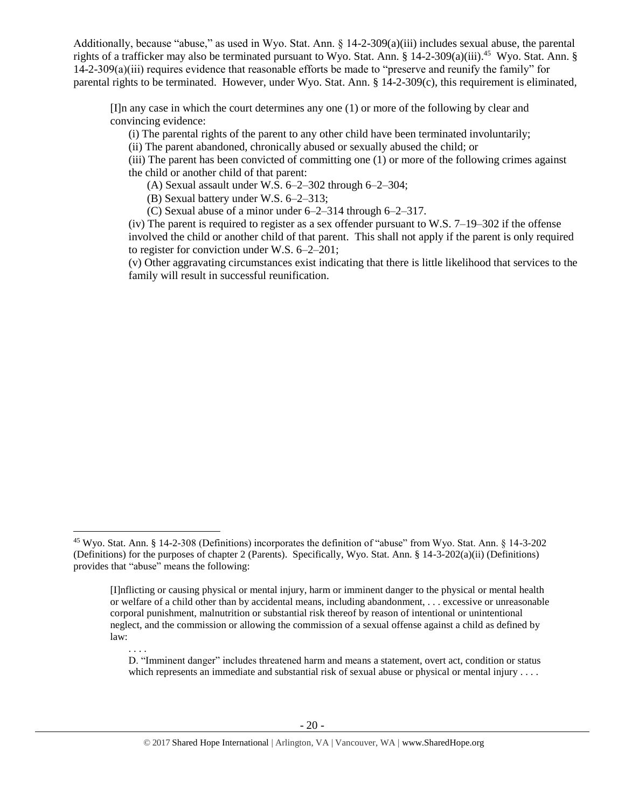Additionally, because "abuse," as used in Wyo. Stat. Ann. § 14-2-309(a)(iii) includes sexual abuse, the parental rights of a trafficker may also be terminated pursuant to Wyo. Stat. Ann. § 14-2-309(a)(iii).<sup>45</sup> Wyo. Stat. Ann. § 14-2-309(a)(iii) requires evidence that reasonable efforts be made to "preserve and reunify the family" for parental rights to be terminated. However, under Wyo. Stat. Ann.  $\S$  14-2-309(c), this requirement is eliminated,

[I]n any case in which the court determines any one (1) or more of the following by clear and convincing evidence:

(i) The parental rights of the parent to any other child have been terminated involuntarily;

(ii) The parent abandoned, chronically abused or sexually abused the child; or

(iii) The parent has been convicted of committing one (1) or more of the following crimes against the child or another child of that parent:

(A) Sexual assault under W.S. 6–2–302 through 6–2–304;

(B) Sexual battery under W.S. 6–2–313;

l

(C) Sexual abuse of a minor under 6–2–314 through 6–2–317.

(iv) The parent is required to register as a sex offender pursuant to W.S. 7–19–302 if the offense involved the child or another child of that parent. This shall not apply if the parent is only required to register for conviction under W.S. 6–2–201;

(v) Other aggravating circumstances exist indicating that there is little likelihood that services to the family will result in successful reunification.

. . . . D. "Imminent danger" includes threatened harm and means a statement, overt act, condition or status which represents an immediate and substantial risk of sexual abuse or physical or mental injury . . . .

<sup>45</sup> Wyo. Stat. Ann. § 14-2-308 (Definitions) incorporates the definition of "abuse" from Wyo. Stat. Ann. § 14-3-202 (Definitions) for the purposes of chapter 2 (Parents). Specifically, Wyo. Stat. Ann. § 14-3-202(a)(ii) (Definitions) provides that "abuse" means the following:

<sup>[</sup>I]nflicting or causing physical or mental injury, harm or imminent danger to the physical or mental health or welfare of a child other than by accidental means, including abandonment, . . . excessive or unreasonable corporal punishment, malnutrition or substantial risk thereof by reason of intentional or unintentional neglect, and the commission or allowing the commission of a sexual offense against a child as defined by law: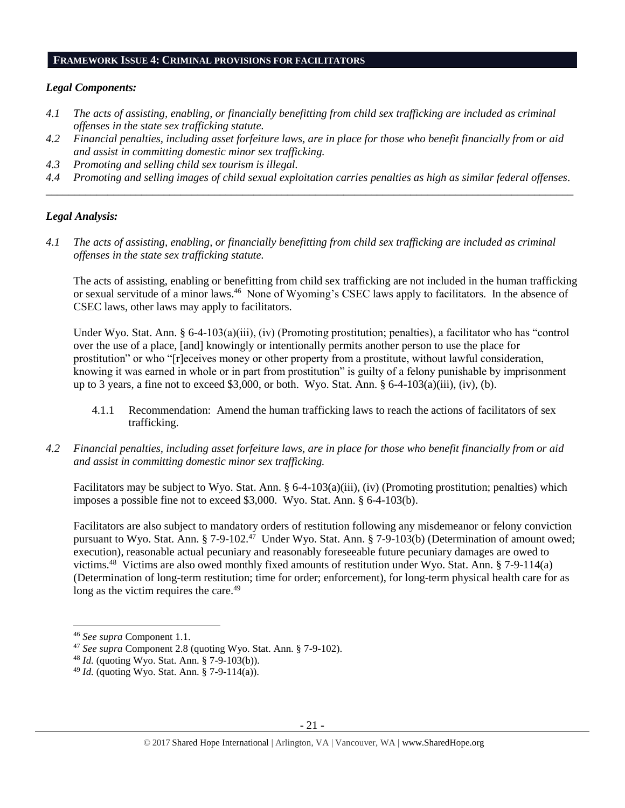#### **FRAMEWORK ISSUE 4: CRIMINAL PROVISIONS FOR FACILITATORS**

## *Legal Components:*

- *4.1 The acts of assisting, enabling, or financially benefitting from child sex trafficking are included as criminal offenses in the state sex trafficking statute.*
- *4.2 Financial penalties, including asset forfeiture laws, are in place for those who benefit financially from or aid and assist in committing domestic minor sex trafficking.*
- *4.3 Promoting and selling child sex tourism is illegal.*
- *4.4 Promoting and selling images of child sexual exploitation carries penalties as high as similar federal offenses. \_\_\_\_\_\_\_\_\_\_\_\_\_\_\_\_\_\_\_\_\_\_\_\_\_\_\_\_\_\_\_\_\_\_\_\_\_\_\_\_\_\_\_\_\_\_\_\_\_\_\_\_\_\_\_\_\_\_\_\_\_\_\_\_\_\_\_\_\_\_\_\_\_\_\_\_\_\_\_\_\_\_\_\_\_\_\_\_\_\_\_\_\_\_*

## *Legal Analysis:*

*4.1 The acts of assisting, enabling, or financially benefitting from child sex trafficking are included as criminal offenses in the state sex trafficking statute.*

The acts of assisting, enabling or benefitting from child sex trafficking are not included in the human trafficking or sexual servitude of a minor laws.<sup>46</sup> None of Wyoming's CSEC laws apply to facilitators. In the absence of CSEC laws, other laws may apply to facilitators.

Under Wyo. Stat. Ann. § 6-4-103(a)(iii), (iv) (Promoting prostitution; penalties), a facilitator who has "control over the use of a place, [and] knowingly or intentionally permits another person to use the place for prostitution" or who "[r]eceives money or other property from a prostitute, without lawful consideration, knowing it was earned in whole or in part from prostitution" is guilty of a felony punishable by imprisonment up to 3 years, a fine not to exceed \$3,000, or both. Wyo. Stat. Ann.  $\S 6-4-103(a)(iii)$ , (iv), (b).

- 4.1.1 Recommendation: Amend the human trafficking laws to reach the actions of facilitators of sex trafficking.
- *4.2 Financial penalties, including asset forfeiture laws, are in place for those who benefit financially from or aid and assist in committing domestic minor sex trafficking.*

Facilitators may be subject to Wyo. Stat. Ann. § 6-4-103(a)(iii), (iv) (Promoting prostitution; penalties) which imposes a possible fine not to exceed \$3,000. Wyo. Stat. Ann. § 6-4-103(b).

Facilitators are also subject to mandatory orders of restitution following any misdemeanor or felony conviction pursuant to Wyo. Stat. Ann. § 7-9-102.<sup>47</sup> Under Wyo. Stat. Ann. § 7-9-103(b) (Determination of amount owed; execution), reasonable actual pecuniary and reasonably foreseeable future pecuniary damages are owed to victims.<sup>48</sup> Victims are also owed monthly fixed amounts of restitution under Wyo. Stat. Ann. § 7-9-114(a) (Determination of long-term restitution; time for order; enforcement), for long-term physical health care for as long as the victim requires the care.<sup>49</sup>

<sup>46</sup> *See supra* Component 1.1.

<sup>47</sup> *See supra* Component 2.8 (quoting Wyo. Stat. Ann. § 7-9-102).

<sup>48</sup> *Id.* (quoting Wyo. Stat. Ann. § 7-9-103(b)).

<sup>49</sup> *Id.* (quoting Wyo. Stat. Ann. § 7-9-114(a)).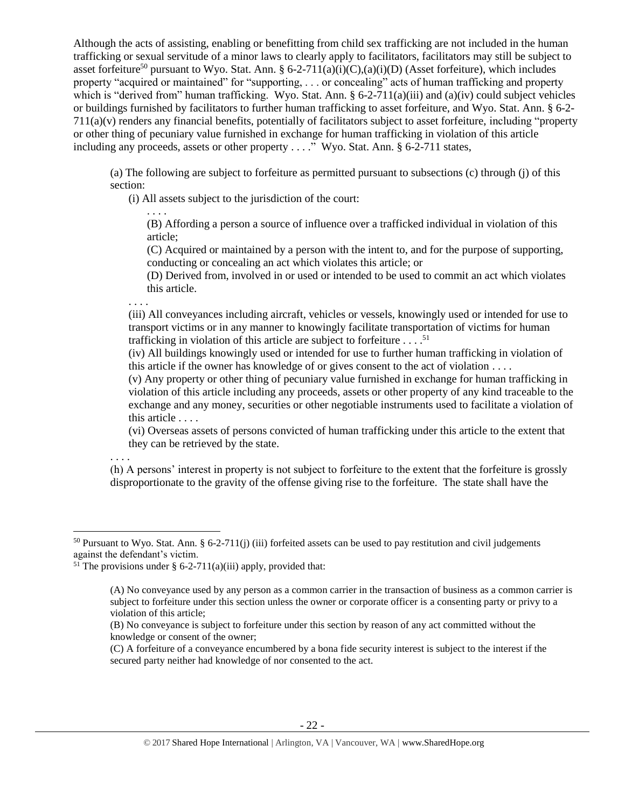Although the acts of assisting, enabling or benefitting from child sex trafficking are not included in the human trafficking or sexual servitude of a minor laws to clearly apply to facilitators, facilitators may still be subject to asset forfeiture<sup>50</sup> pursuant to Wyo. Stat. Ann. § 6-2-711(a)(i)(C),(a)(i)(D) (Asset forfeiture), which includes property "acquired or maintained" for "supporting, . . . or concealing" acts of human trafficking and property which is "derived from" human trafficking. Wyo. Stat. Ann. § 6-2-711(a)(iii) and (a)(iv) could subject vehicles or buildings furnished by facilitators to further human trafficking to asset forfeiture, and Wyo. Stat. Ann. § 6-2- 711(a)(v) renders any financial benefits, potentially of facilitators subject to asset forfeiture, including "property or other thing of pecuniary value furnished in exchange for human trafficking in violation of this article including any proceeds, assets or other property . . . ." Wyo. Stat. Ann. § 6-2-711 states,

(a) The following are subject to forfeiture as permitted pursuant to subsections (c) through (j) of this section:

(i) All assets subject to the jurisdiction of the court:

. . . .

(B) Affording a person a source of influence over a trafficked individual in violation of this article;

(C) Acquired or maintained by a person with the intent to, and for the purpose of supporting, conducting or concealing an act which violates this article; or

(D) Derived from, involved in or used or intended to be used to commit an act which violates this article.

. . . .

(iii) All conveyances including aircraft, vehicles or vessels, knowingly used or intended for use to transport victims or in any manner to knowingly facilitate transportation of victims for human trafficking in violation of this article are subject to forfeiture . . . . 51

(iv) All buildings knowingly used or intended for use to further human trafficking in violation of this article if the owner has knowledge of or gives consent to the act of violation . . . .

(v) Any property or other thing of pecuniary value furnished in exchange for human trafficking in violation of this article including any proceeds, assets or other property of any kind traceable to the exchange and any money, securities or other negotiable instruments used to facilitate a violation of this article . . . .

(vi) Overseas assets of persons convicted of human trafficking under this article to the extent that they can be retrieved by the state.

. . . .

l

(h) A persons' interest in property is not subject to forfeiture to the extent that the forfeiture is grossly disproportionate to the gravity of the offense giving rise to the forfeiture. The state shall have the

 $50$  Pursuant to Wyo. Stat. Ann. § 6-2-711(j) (iii) forfeited assets can be used to pay restitution and civil judgements against the defendant's victim.

<sup>&</sup>lt;sup>51</sup> The provisions under § 6-2-711(a)(iii) apply, provided that:

<sup>(</sup>A) No conveyance used by any person as a common carrier in the transaction of business as a common carrier is subject to forfeiture under this section unless the owner or corporate officer is a consenting party or privy to a violation of this article;

<sup>(</sup>B) No conveyance is subject to forfeiture under this section by reason of any act committed without the knowledge or consent of the owner;

<sup>(</sup>C) A forfeiture of a conveyance encumbered by a bona fide security interest is subject to the interest if the secured party neither had knowledge of nor consented to the act.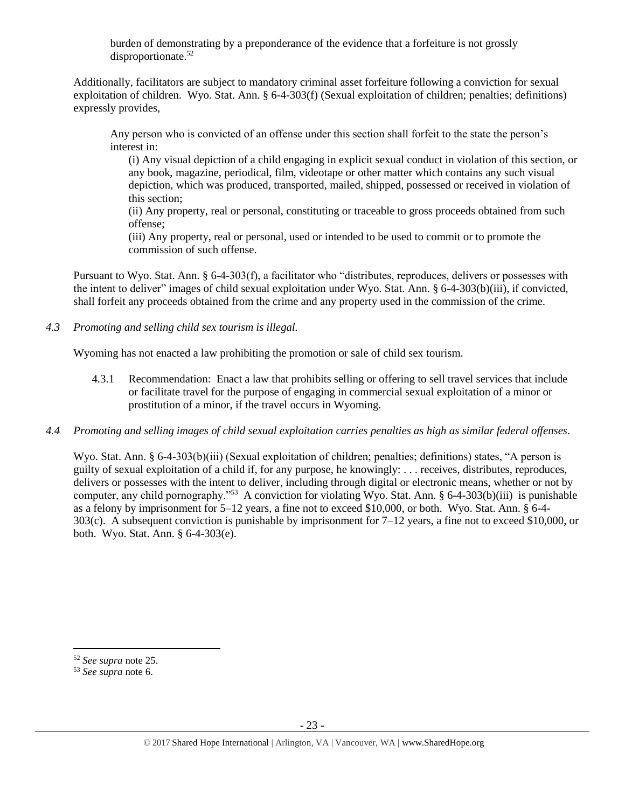burden of demonstrating by a preponderance of the evidence that a forfeiture is not grossly disproportionate.<sup>52</sup>

Additionally, facilitators are subject to mandatory criminal asset forfeiture following a conviction for sexual exploitation of children. Wyo. Stat. Ann. § 6-4-303(f) (Sexual exploitation of children; penalties; definitions) expressly provides,

Any person who is convicted of an offense under this section shall forfeit to the state the person's interest in:

(i) Any visual depiction of a child engaging in explicit sexual conduct in violation of this section, or any book, magazine, periodical, film, videotape or other matter which contains any such visual depiction, which was produced, transported, mailed, shipped, possessed or received in violation of this section;

(ii) Any property, real or personal, constituting or traceable to gross proceeds obtained from such offense;

(iii) Any property, real or personal, used or intended to be used to commit or to promote the commission of such offense.

Pursuant to Wyo. Stat. Ann. § 6-4-303(f), a facilitator who "distributes, reproduces, delivers or possesses with the intent to deliver" images of child sexual exploitation under Wyo. Stat. Ann. § 6-4-303(b)(iii), if convicted, shall forfeit any proceeds obtained from the crime and any property used in the commission of the crime.

*4.3 Promoting and selling child sex tourism is illegal.*

Wyoming has not enacted a law prohibiting the promotion or sale of child sex tourism.

- 4.3.1 Recommendation: Enact a law that prohibits selling or offering to sell travel services that include or facilitate travel for the purpose of engaging in commercial sexual exploitation of a minor or prostitution of a minor, if the travel occurs in Wyoming.
- *4.4 Promoting and selling images of child sexual exploitation carries penalties as high as similar federal offenses.*

Wyo. Stat. Ann. § 6-4-303(b)(iii) (Sexual exploitation of children; penalties; definitions) states, "A person is guilty of sexual exploitation of a child if, for any purpose, he knowingly: . . . receives, distributes, reproduces, delivers or possesses with the intent to deliver, including through digital or electronic means, whether or not by computer, any child pornography."<sup>53</sup> A conviction for violating Wyo. Stat. Ann. § 6-4-303(b)(iii) is punishable as a felony by imprisonment for 5–12 years, a fine not to exceed \$10,000, or both. Wyo. Stat. Ann. § 6-4- 303(c). A subsequent conviction is punishable by imprisonment for 7–12 years, a fine not to exceed \$10,000, or both. Wyo. Stat. Ann. § 6-4-303(e).

 $\overline{a}$ 

<sup>52</sup> *See supra* note [25.](#page-11-0)

<sup>53</sup> *See supra* note [6.](#page-1-2)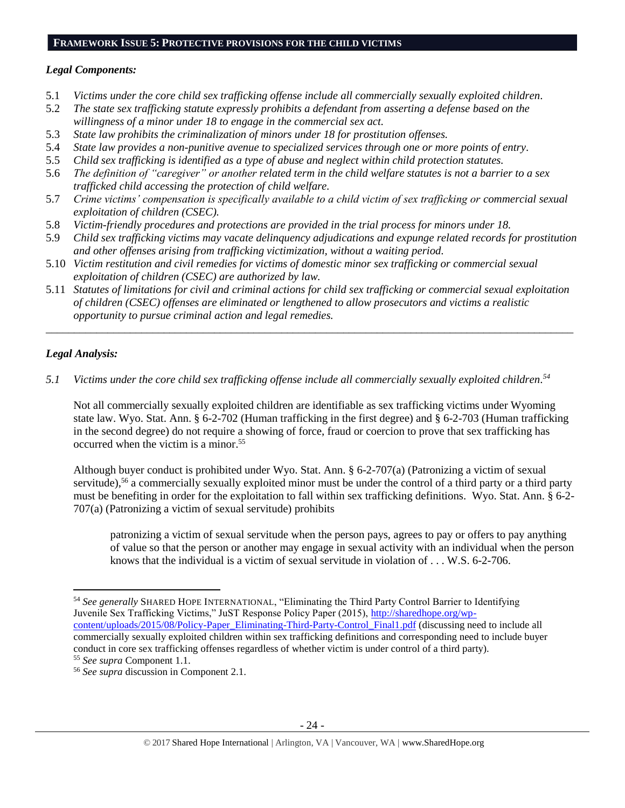## **FRAMEWORK ISSUE 5: PROTECTIVE PROVISIONS FOR THE CHILD VICTIMS**

# *Legal Components:*

- 5.1 *Victims under the core child sex trafficking offense include all commercially sexually exploited children.*
- 5.2 *The state sex trafficking statute expressly prohibits a defendant from asserting a defense based on the willingness of a minor under 18 to engage in the commercial sex act.*
- 5.3 *State law prohibits the criminalization of minors under 18 for prostitution offenses.*
- 5.4 *State law provides a non-punitive avenue to specialized services through one or more points of entry.*
- 5.5 *Child sex trafficking is identified as a type of abuse and neglect within child protection statutes.*
- 5.6 *The definition of "caregiver" or another related term in the child welfare statutes is not a barrier to a sex trafficked child accessing the protection of child welfare.*
- 5.7 *Crime victims' compensation is specifically available to a child victim of sex trafficking or commercial sexual exploitation of children (CSEC).*
- 5.8 *Victim-friendly procedures and protections are provided in the trial process for minors under 18.*
- 5.9 *Child sex trafficking victims may vacate delinquency adjudications and expunge related records for prostitution and other offenses arising from trafficking victimization, without a waiting period.*
- 5.10 *Victim restitution and civil remedies for victims of domestic minor sex trafficking or commercial sexual exploitation of children (CSEC) are authorized by law.*
- 5.11 *Statutes of limitations for civil and criminal actions for child sex trafficking or commercial sexual exploitation of children (CSEC) offenses are eliminated or lengthened to allow prosecutors and victims a realistic opportunity to pursue criminal action and legal remedies.*

*\_\_\_\_\_\_\_\_\_\_\_\_\_\_\_\_\_\_\_\_\_\_\_\_\_\_\_\_\_\_\_\_\_\_\_\_\_\_\_\_\_\_\_\_\_\_\_\_\_\_\_\_\_\_\_\_\_\_\_\_\_\_\_\_\_\_\_\_\_\_\_\_\_\_\_\_\_\_\_\_\_\_\_\_\_\_\_\_\_\_\_\_\_\_*

# *Legal Analysis:*

 $\overline{\phantom{a}}$ 

*5.1 Victims under the core child sex trafficking offense include all commercially sexually exploited children. 54*

Not all commercially sexually exploited children are identifiable as sex trafficking victims under Wyoming state law. Wyo. Stat. Ann. § 6-2-702 (Human trafficking in the first degree) and § 6-2-703 (Human trafficking in the second degree) do not require a showing of force, fraud or coercion to prove that sex trafficking has occurred when the victim is a minor. 55

Although buyer conduct is prohibited under Wyo. Stat. Ann. § 6-2-707(a) (Patronizing a victim of sexual servitude),<sup>56</sup> a commercially sexually exploited minor must be under the control of a third party or a third party must be benefiting in order for the exploitation to fall within sex trafficking definitions. Wyo. Stat. Ann. § 6-2- 707(a) (Patronizing a victim of sexual servitude) prohibits

patronizing a victim of sexual servitude when the person pays, agrees to pay or offers to pay anything of value so that the person or another may engage in sexual activity with an individual when the person knows that the individual is a victim of sexual servitude in violation of . . . W.S. 6-2-706.

<sup>54</sup> *See generally* SHARED HOPE INTERNATIONAL, "Eliminating the Third Party Control Barrier to Identifying Juvenile Sex Trafficking Victims," JuST Response Policy Paper (2015), [http://sharedhope.org/wp](http://sharedhope.org/wp-content/uploads/2015/08/Policy-Paper_Eliminating-Third-Party-Control_Final1.pdf)[content/uploads/2015/08/Policy-Paper\\_Eliminating-Third-Party-Control\\_Final1.pdf](http://sharedhope.org/wp-content/uploads/2015/08/Policy-Paper_Eliminating-Third-Party-Control_Final1.pdf) (discussing need to include all commercially sexually exploited children within sex trafficking definitions and corresponding need to include buyer conduct in core sex trafficking offenses regardless of whether victim is under control of a third party). <sup>55</sup> *See supra* Component 1.1.

<sup>56</sup> *See supra* discussion in Component 2.1.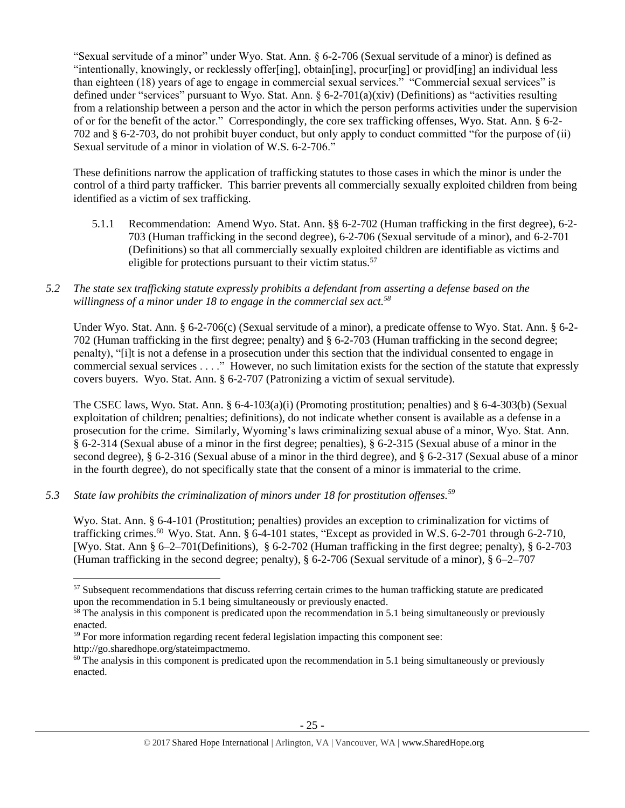"Sexual servitude of a minor" under Wyo. Stat. Ann. § 6-2-706 (Sexual servitude of a minor) is defined as "intentionally, knowingly, or recklessly offer[ing], obtain[ing], procur[ing] or provid[ing] an individual less than eighteen (18) years of age to engage in commercial sexual services." "Commercial sexual services" is defined under "services" pursuant to Wyo. Stat. Ann. § 6-2-701(a)(xiv) (Definitions) as "activities resulting from a relationship between a person and the actor in which the person performs activities under the supervision of or for the benefit of the actor." Correspondingly, the core sex trafficking offenses, Wyo. Stat. Ann. § 6-2- 702 and § 6-2-703, do not prohibit buyer conduct, but only apply to conduct committed "for the purpose of (ii) Sexual servitude of a minor in violation of W.S. 6-2-706."

These definitions narrow the application of trafficking statutes to those cases in which the minor is under the control of a third party trafficker. This barrier prevents all commercially sexually exploited children from being identified as a victim of sex trafficking.

5.1.1 Recommendation: Amend Wyo. Stat. Ann. §§ 6-2-702 (Human trafficking in the first degree), 6-2- 703 (Human trafficking in the second degree), 6-2-706 (Sexual servitude of a minor), and 6-2-701 (Definitions) so that all commercially sexually exploited children are identifiable as victims and eligible for protections pursuant to their victim status.<sup>57</sup>

# *5.2 The state sex trafficking statute expressly prohibits a defendant from asserting a defense based on the willingness of a minor under 18 to engage in the commercial sex act.<sup>58</sup>*

Under Wyo. Stat. Ann. § 6-2-706(c) (Sexual servitude of a minor), a predicate offense to Wyo. Stat. Ann. § 6-2-702 (Human trafficking in the first degree; penalty) and § 6-2-703 (Human trafficking in the second degree; penalty), "[i]t is not a defense in a prosecution under this section that the individual consented to engage in commercial sexual services . . . ." However, no such limitation exists for the section of the statute that expressly covers buyers. Wyo. Stat. Ann. § 6-2-707 (Patronizing a victim of sexual servitude).

The CSEC laws, Wyo. Stat. Ann. § 6-4-103(a)(i) (Promoting prostitution; penalties) and § 6-4-303(b) (Sexual exploitation of children; penalties; definitions), do not indicate whether consent is available as a defense in a prosecution for the crime. Similarly, Wyoming's laws criminalizing sexual abuse of a minor, Wyo. Stat. Ann. § 6-2-314 (Sexual abuse of a minor in the first degree; penalties), § 6-2-315 (Sexual abuse of a minor in the second degree), § 6-2-316 (Sexual abuse of a minor in the third degree), and § 6-2-317 (Sexual abuse of a minor in the fourth degree), do not specifically state that the consent of a minor is immaterial to the crime.

# *5.3 State law prohibits the criminalization of minors under 18 for prostitution offenses.<sup>59</sup>*

 $\overline{\phantom{a}}$ 

Wyo. Stat. Ann. § 6-4-101 (Prostitution; penalties) provides an exception to criminalization for victims of trafficking crimes.<sup>60</sup> Wyo. Stat. Ann. § 6-4-101 states, "Except as provided in W.S. 6-2-701 through 6-2-710, [Wyo. Stat. Ann § 6–2–701(Definitions), § 6-2-702 (Human trafficking in the first degree; penalty), § 6-2-703 (Human trafficking in the second degree; penalty), § 6-2-706 (Sexual servitude of a minor), § 6–2–707

<sup>&</sup>lt;sup>57</sup> Subsequent recommendations that discuss referring certain crimes to the human trafficking statute are predicated upon the recommendation in 5.1 being simultaneously or previously enacted.

 $58$  The analysis in this component is predicated upon the recommendation in 5.1 being simultaneously or previously enacted.

<sup>&</sup>lt;sup>59</sup> For more information regarding recent federal legislation impacting this component see: http://go.sharedhope.org/stateimpactmemo.

 $60$  The analysis in this component is predicated upon the recommendation in 5.1 being simultaneously or previously enacted.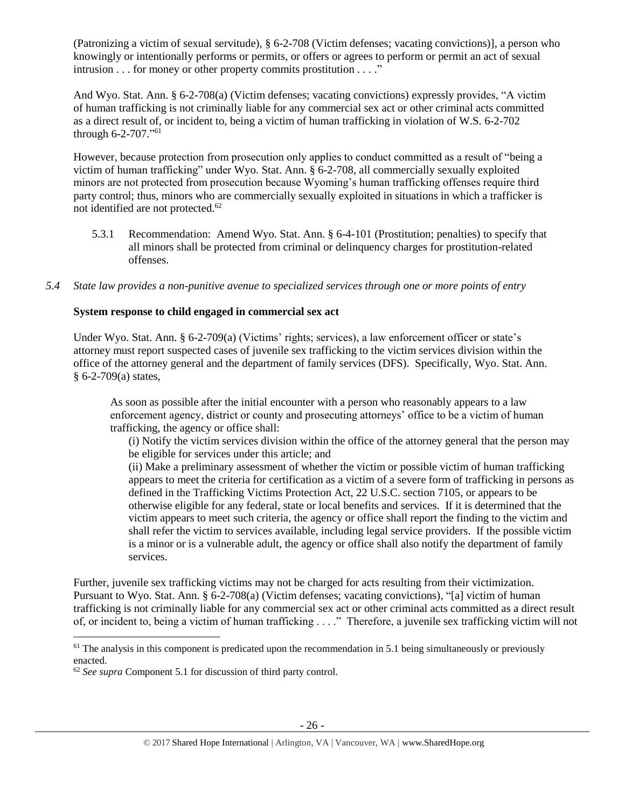(Patronizing a victim of sexual servitude), § 6-2-708 (Victim defenses; vacating convictions)], a person who knowingly or intentionally performs or permits, or offers or agrees to perform or permit an act of sexual intrusion . . . for money or other property commits prostitution . . . ."

And Wyo. Stat. Ann. § 6-2-708(a) (Victim defenses; vacating convictions) expressly provides, "A victim of human trafficking is not criminally liable for any commercial sex act or other criminal acts committed as a direct result of, or incident to, being a victim of human trafficking in violation of W.S. 6-2-702 through 6-2-707." 61

However, because protection from prosecution only applies to conduct committed as a result of "being a victim of human trafficking" under Wyo. Stat. Ann. § 6-2-708, all commercially sexually exploited minors are not protected from prosecution because Wyoming's human trafficking offenses require third party control; thus, minors who are commercially sexually exploited in situations in which a trafficker is not identified are not protected.<sup>62</sup>

- 5.3.1 Recommendation: Amend Wyo. Stat. Ann. § 6-4-101 (Prostitution; penalties) to specify that all minors shall be protected from criminal or delinquency charges for prostitution-related offenses.
- *5.4 State law provides a non-punitive avenue to specialized services through one or more points of entry*

# **System response to child engaged in commercial sex act**

Under Wyo. Stat. Ann. § 6-2-709(a) (Victims' rights; services), a law enforcement officer or state's attorney must report suspected cases of juvenile sex trafficking to the victim services division within the office of the attorney general and the department of family services (DFS). Specifically, Wyo. Stat. Ann. § 6-2-709(a) states,

As soon as possible after the initial encounter with a person who reasonably appears to a law enforcement agency, district or county and prosecuting attorneys' office to be a victim of human trafficking, the agency or office shall:

(i) Notify the victim services division within the office of the attorney general that the person may be eligible for services under this article; and

(ii) Make a preliminary assessment of whether the victim or possible victim of human trafficking appears to meet the criteria for certification as a victim of a severe form of trafficking in persons as defined in the Trafficking Victims Protection Act, 22 U.S.C. section 7105, or appears to be otherwise eligible for any federal, state or local benefits and services. If it is determined that the victim appears to meet such criteria, the agency or office shall report the finding to the victim and shall refer the victim to services available, including legal service providers. If the possible victim is a minor or is a vulnerable adult, the agency or office shall also notify the department of family services.

Further, juvenile sex trafficking victims may not be charged for acts resulting from their victimization. Pursuant to Wyo. Stat. Ann. § 6-2-708(a) (Victim defenses; vacating convictions), "[a] victim of human trafficking is not criminally liable for any commercial sex act or other criminal acts committed as a direct result of, or incident to, being a victim of human trafficking . . . ." Therefore, a juvenile sex trafficking victim will not

 $61$  The analysis in this component is predicated upon the recommendation in 5.1 being simultaneously or previously enacted.

<sup>62</sup> *See supra* Component 5.1 for discussion of third party control.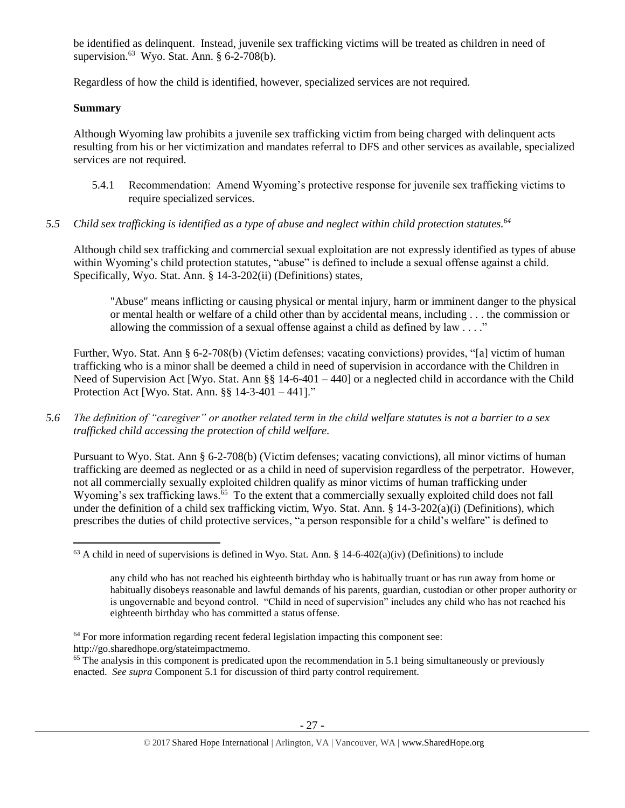be identified as delinquent. Instead, juvenile sex trafficking victims will be treated as children in need of supervision. $^{63}$  Wyo. Stat. Ann. § 6-2-708(b).

Regardless of how the child is identified, however, specialized services are not required.

# **Summary**

 $\overline{a}$ 

Although Wyoming law prohibits a juvenile sex trafficking victim from being charged with delinquent acts resulting from his or her victimization and mandates referral to DFS and other services as available, specialized services are not required.

- 5.4.1 Recommendation: Amend Wyoming's protective response for juvenile sex trafficking victims to require specialized services.
- *5.5 Child sex trafficking is identified as a type of abuse and neglect within child protection statutes.<sup>64</sup>*

Although child sex trafficking and commercial sexual exploitation are not expressly identified as types of abuse within Wyoming's child protection statutes, "abuse" is defined to include a sexual offense against a child. Specifically, Wyo. Stat. Ann. § 14-3-202(ii) (Definitions) states,

"Abuse" means inflicting or causing physical or mental injury, harm or imminent danger to the physical or mental health or welfare of a child other than by accidental means, including . . . the commission or allowing the commission of a sexual offense against a child as defined by law . . . ."

Further, Wyo. Stat. Ann § 6-2-708(b) (Victim defenses; vacating convictions) provides, "[a] victim of human trafficking who is a minor shall be deemed a child in need of supervision in accordance with the Children in Need of Supervision Act [Wyo. Stat. Ann §§ 14-6-401 – 440] or a neglected child in accordance with the Child Protection Act [Wyo. Stat. Ann. §§ 14-3-401 – 441]."

*5.6 The definition of "caregiver" or another related term in the child welfare statutes is not a barrier to a sex trafficked child accessing the protection of child welfare.*

Pursuant to Wyo. Stat. Ann § 6-2-708(b) (Victim defenses; vacating convictions), all minor victims of human trafficking are deemed as neglected or as a child in need of supervision regardless of the perpetrator. However, not all commercially sexually exploited children qualify as minor victims of human trafficking under Wyoming's sex trafficking laws.<sup>65</sup> To the extent that a commercially sexually exploited child does not fall under the definition of a child sex trafficking victim, Wyo. Stat. Ann. § 14-3-202(a)(i) (Definitions), which prescribes the duties of child protective services, "a person responsible for a child's welfare" is defined to

<sup>64</sup> For more information regarding recent federal legislation impacting this component see: http://go.sharedhope.org/stateimpactmemo.

 $<sup>65</sup>$  The analysis in this component is predicated upon the recommendation in 5.1 being simultaneously or previously</sup> enacted. *See supra* Component 5.1 for discussion of third party control requirement.

 $63$  A child in need of supervisions is defined in Wyo. Stat. Ann. § 14-6-402(a)(iv) (Definitions) to include

any child who has not reached his eighteenth birthday who is habitually truant or has run away from home or habitually disobeys reasonable and lawful demands of his parents, guardian, custodian or other proper authority or is ungovernable and beyond control. "Child in need of supervision" includes any child who has not reached his eighteenth birthday who has committed a status offense.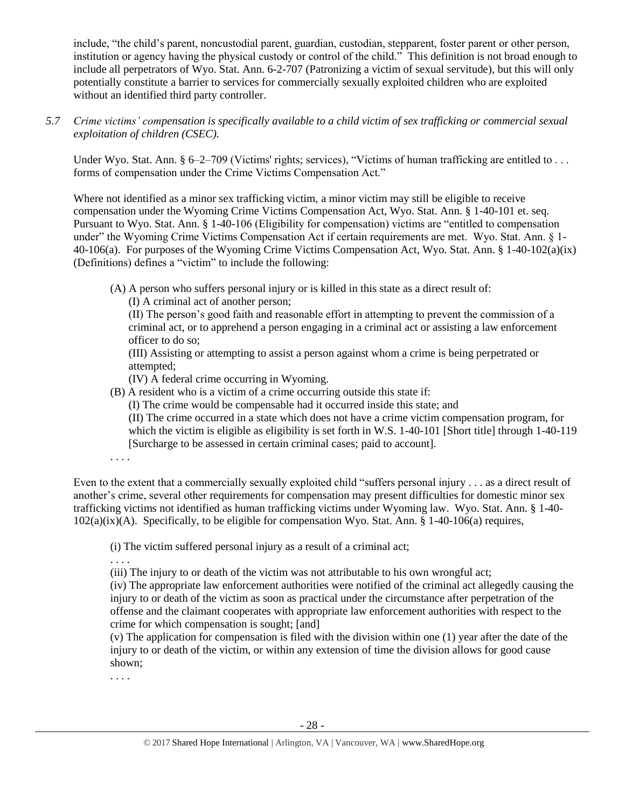include, "the child's parent, noncustodial parent, guardian, custodian, stepparent, foster parent or other person, institution or agency having the physical custody or control of the child." This definition is not broad enough to include all perpetrators of Wyo. Stat. Ann. 6-2-707 (Patronizing a victim of sexual servitude), but this will only potentially constitute a barrier to services for commercially sexually exploited children who are exploited without an identified third party controller.

*5.7 Crime victims' compensation is specifically available to a child victim of sex trafficking or commercial sexual exploitation of children (CSEC).*

Under Wyo. Stat. Ann. § 6–2–709 (Victims' rights; services), "Victims of human trafficking are entitled to ... forms of compensation under the Crime Victims Compensation Act."

Where not identified as a minor sex trafficking victim, a minor victim may still be eligible to receive compensation under the Wyoming Crime Victims Compensation Act, Wyo. Stat. Ann. § 1-40-101 et. seq. Pursuant to Wyo. Stat. Ann. § 1-40-106 (Eligibility for compensation) victims are "entitled to compensation under" the Wyoming Crime Victims Compensation Act if certain requirements are met. Wyo. Stat. Ann. § 1- 40-106(a). For purposes of the Wyoming Crime Victims Compensation Act, Wyo. Stat. Ann. § 1-40-102(a)(ix) (Definitions) defines a "victim" to include the following:

(A) A person who suffers personal injury or is killed in this state as a direct result of:

(I) A criminal act of another person;

(II) The person's good faith and reasonable effort in attempting to prevent the commission of a criminal act, or to apprehend a person engaging in a criminal act or assisting a law enforcement officer to do so;

(III) Assisting or attempting to assist a person against whom a crime is being perpetrated or attempted;

(IV) A federal crime occurring in Wyoming.

(B) A resident who is a victim of a crime occurring outside this state if:

(I) The crime would be compensable had it occurred inside this state; and

(II) The crime occurred in a state which does not have a crime victim compensation program, for which the victim is eligible as eligibility is set forth in W.S. 1-40-101 [Short title] through 1-40-119 [Surcharge to be assessed in certain criminal cases; paid to account].

. . . .

Even to the extent that a commercially sexually exploited child "suffers personal injury . . . as a direct result of another's crime, several other requirements for compensation may present difficulties for domestic minor sex trafficking victims not identified as human trafficking victims under Wyoming law. Wyo. Stat. Ann. § 1-40- 102(a)(ix)(A). Specifically, to be eligible for compensation Wyo. Stat. Ann. § 1-40-106(a) requires,

(i) The victim suffered personal injury as a result of a criminal act;

. . . .

(iii) The injury to or death of the victim was not attributable to his own wrongful act;

(iv) The appropriate law enforcement authorities were notified of the criminal act allegedly causing the injury to or death of the victim as soon as practical under the circumstance after perpetration of the offense and the claimant cooperates with appropriate law enforcement authorities with respect to the crime for which compensation is sought; [and]

(v) The application for compensation is filed with the division within one (1) year after the date of the injury to or death of the victim, or within any extension of time the division allows for good cause shown;

. . . .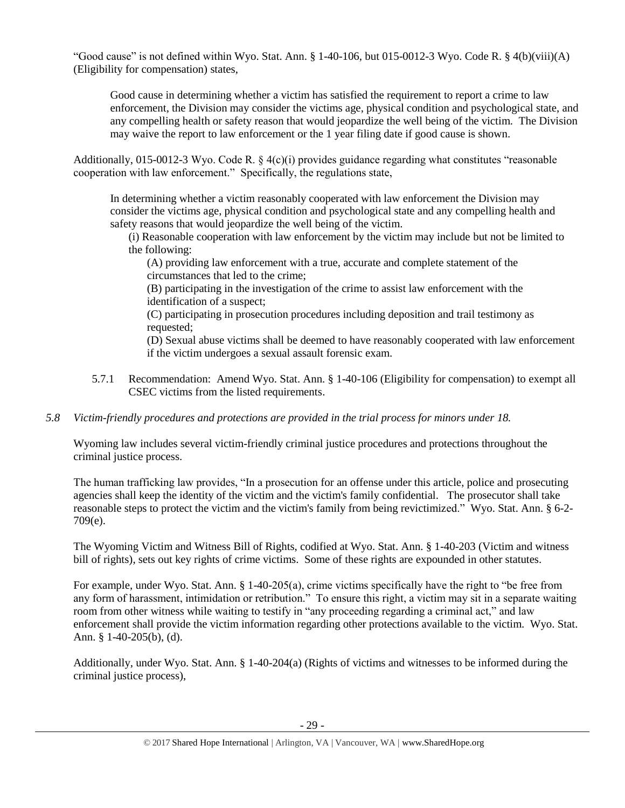"Good cause" is not defined within Wyo. Stat. Ann.  $\S$  1-40-106, but 015-0012-3 Wyo. Code R.  $\S$  4(b)(viii)(A) (Eligibility for compensation) states,

Good cause in determining whether a victim has satisfied the requirement to report a crime to law enforcement, the Division may consider the victims age, physical condition and psychological state, and any compelling health or safety reason that would jeopardize the well being of the victim. The Division may waive the report to law enforcement or the 1 year filing date if good cause is shown.

Additionally, 015-0012-3 Wyo. Code R.  $\S$  4(c)(i) provides guidance regarding what constitutes "reasonable cooperation with law enforcement." Specifically, the regulations state,

In determining whether a victim reasonably cooperated with law enforcement the Division may consider the victims age, physical condition and psychological state and any compelling health and safety reasons that would jeopardize the well being of the victim.

(i) Reasonable cooperation with law enforcement by the victim may include but not be limited to the following:

(A) providing law enforcement with a true, accurate and complete statement of the circumstances that led to the crime;

(B) participating in the investigation of the crime to assist law enforcement with the identification of a suspect;

(C) participating in prosecution procedures including deposition and trail testimony as requested;

(D) Sexual abuse victims shall be deemed to have reasonably cooperated with law enforcement if the victim undergoes a sexual assault forensic exam.

5.7.1 Recommendation: Amend Wyo. Stat. Ann. § 1-40-106 (Eligibility for compensation) to exempt all CSEC victims from the listed requirements.

# *5.8 Victim-friendly procedures and protections are provided in the trial process for minors under 18.*

Wyoming law includes several victim-friendly criminal justice procedures and protections throughout the criminal justice process.

The human trafficking law provides, "In a prosecution for an offense under this article, police and prosecuting agencies shall keep the identity of the victim and the victim's family confidential. The prosecutor shall take reasonable steps to protect the victim and the victim's family from being revictimized." Wyo. Stat. Ann. § 6-2- 709(e).

The Wyoming Victim and Witness Bill of Rights, codified at Wyo. Stat. Ann. § 1-40-203 (Victim and witness bill of rights), sets out key rights of crime victims. Some of these rights are expounded in other statutes.

For example, under Wyo. Stat. Ann. § 1-40-205(a), crime victims specifically have the right to "be free from any form of harassment, intimidation or retribution." To ensure this right, a victim may sit in a separate waiting room from other witness while waiting to testify in "any proceeding regarding a criminal act," and law enforcement shall provide the victim information regarding other protections available to the victim. Wyo. Stat. Ann. § 1-40-205(b), (d).

Additionally, under Wyo. Stat. Ann. § 1-40-204(a) (Rights of victims and witnesses to be informed during the criminal justice process),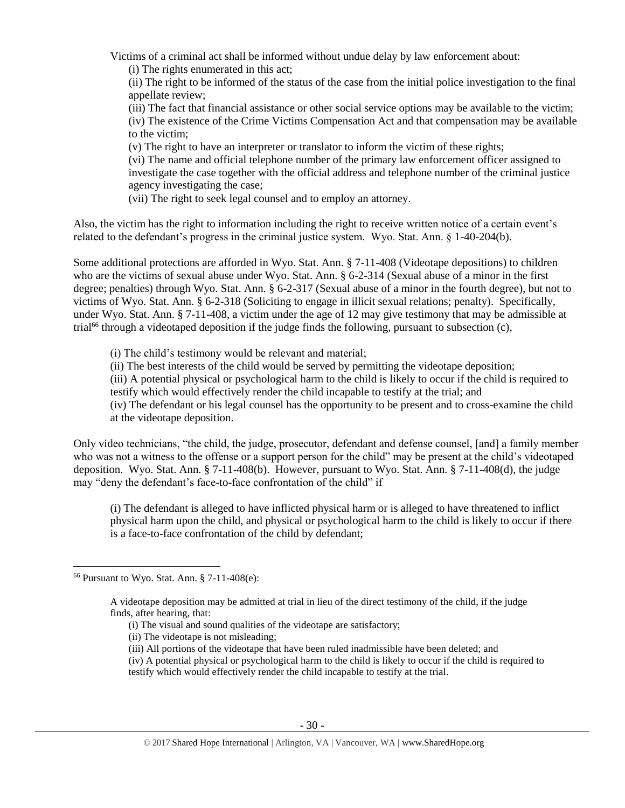Victims of a criminal act shall be informed without undue delay by law enforcement about:

(i) The rights enumerated in this act;

(ii) The right to be informed of the status of the case from the initial police investigation to the final appellate review;

(iii) The fact that financial assistance or other social service options may be available to the victim; (iv) The existence of the Crime Victims Compensation Act and that compensation may be available to the victim;

(v) The right to have an interpreter or translator to inform the victim of these rights;

(vi) The name and official telephone number of the primary law enforcement officer assigned to investigate the case together with the official address and telephone number of the criminal justice agency investigating the case;

(vii) The right to seek legal counsel and to employ an attorney.

Also, the victim has the right to information including the right to receive written notice of a certain event's related to the defendant's progress in the criminal justice system. Wyo. Stat. Ann. § 1-40-204(b).

Some additional protections are afforded in Wyo. Stat. Ann. § 7-11-408 (Videotape depositions) to children who are the victims of sexual abuse under Wyo. Stat. Ann. § 6-2-314 (Sexual abuse of a minor in the first degree; penalties) through Wyo. Stat. Ann. § 6-2-317 (Sexual abuse of a minor in the fourth degree), but not to victims of Wyo. Stat. Ann. § 6-2-318 (Soliciting to engage in illicit sexual relations; penalty). Specifically, under Wyo. Stat. Ann. § 7-11-408, a victim under the age of 12 may give testimony that may be admissible at trial<sup>66</sup> through a videotaped deposition if the judge finds the following, pursuant to subsection (c),

(i) The child's testimony would be relevant and material;

(ii) The best interests of the child would be served by permitting the videotape deposition;

(iii) A potential physical or psychological harm to the child is likely to occur if the child is required to testify which would effectively render the child incapable to testify at the trial; and

(iv) The defendant or his legal counsel has the opportunity to be present and to cross-examine the child at the videotape deposition.

Only video technicians, "the child, the judge, prosecutor, defendant and defense counsel, [and] a family member who was not a witness to the offense or a support person for the child" may be present at the child's videotaped deposition. Wyo. Stat. Ann. § 7-11-408(b). However, pursuant to Wyo. Stat. Ann. § 7-11-408(d), the judge may "deny the defendant's face-to-face confrontation of the child" if

(i) The defendant is alleged to have inflicted physical harm or is alleged to have threatened to inflict physical harm upon the child, and physical or psychological harm to the child is likely to occur if there is a face-to-face confrontation of the child by defendant;

l

(iv) A potential physical or psychological harm to the child is likely to occur if the child is required to testify which would effectively render the child incapable to testify at the trial.

<sup>66</sup> Pursuant to Wyo. Stat. Ann. § 7-11-408(e):

A videotape deposition may be admitted at trial in lieu of the direct testimony of the child, if the judge finds, after hearing, that:

<sup>(</sup>i) The visual and sound qualities of the videotape are satisfactory;

<sup>(</sup>ii) The videotape is not misleading;

<sup>(</sup>iii) All portions of the videotape that have been ruled inadmissible have been deleted; and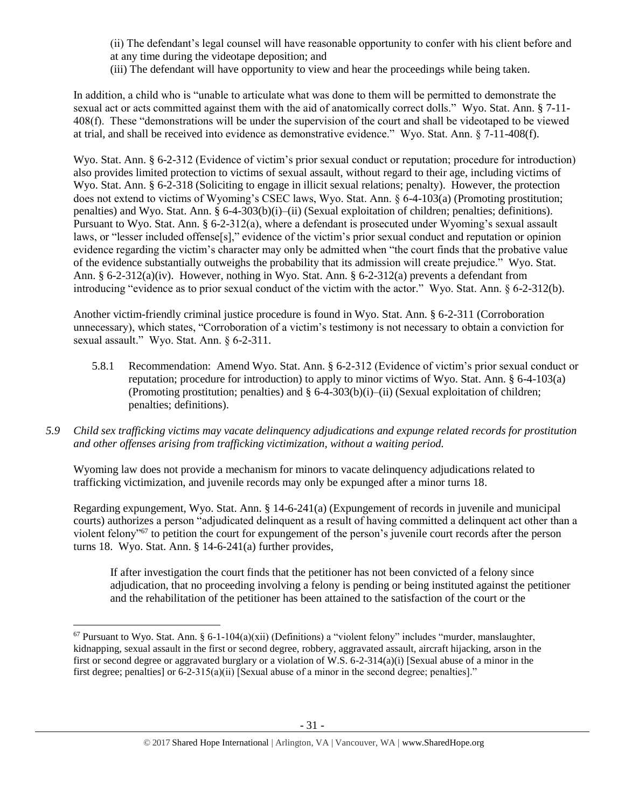(ii) The defendant's legal counsel will have reasonable opportunity to confer with his client before and at any time during the videotape deposition; and

(iii) The defendant will have opportunity to view and hear the proceedings while being taken.

In addition, a child who is "unable to articulate what was done to them will be permitted to demonstrate the sexual act or acts committed against them with the aid of anatomically correct dolls." Wyo. Stat. Ann. § 7-11- 408(f). These "demonstrations will be under the supervision of the court and shall be videotaped to be viewed at trial, and shall be received into evidence as demonstrative evidence." Wyo. Stat. Ann. § 7-11-408(f).

Wyo. Stat. Ann. § 6-2-312 (Evidence of victim's prior sexual conduct or reputation; procedure for introduction) also provides limited protection to victims of sexual assault, without regard to their age, including victims of Wyo. Stat. Ann. § 6-2-318 (Soliciting to engage in illicit sexual relations; penalty). However, the protection does not extend to victims of Wyoming's CSEC laws, Wyo. Stat. Ann. § 6-4-103(a) (Promoting prostitution; penalties) and Wyo. Stat. Ann. § 6-4-303(b)(i)–(ii) (Sexual exploitation of children; penalties; definitions). Pursuant to Wyo. Stat. Ann. § 6-2-312(a), where a defendant is prosecuted under Wyoming's sexual assault laws, or "lesser included offense[s]," evidence of the victim's prior sexual conduct and reputation or opinion evidence regarding the victim's character may only be admitted when "the court finds that the probative value of the evidence substantially outweighs the probability that its admission will create prejudice." Wyo. Stat. Ann. § 6-2-312(a)(iv). However, nothing in Wyo. Stat. Ann. § 6-2-312(a) prevents a defendant from introducing "evidence as to prior sexual conduct of the victim with the actor." Wyo. Stat. Ann. § 6-2-312(b).

Another victim-friendly criminal justice procedure is found in Wyo. Stat. Ann. § 6-2-311 (Corroboration unnecessary), which states, "Corroboration of a victim's testimony is not necessary to obtain a conviction for sexual assault." Wyo. Stat. Ann. § 6-2-311.

- 5.8.1 Recommendation: Amend Wyo. Stat. Ann. § 6-2-312 (Evidence of victim's prior sexual conduct or reputation; procedure for introduction) to apply to minor victims of Wyo. Stat. Ann. § 6-4-103(a) (Promoting prostitution; penalties) and  $\S 6-4-303(b)(i)$ –(ii) (Sexual exploitation of children; penalties; definitions).
- *5.9 Child sex trafficking victims may vacate delinquency adjudications and expunge related records for prostitution and other offenses arising from trafficking victimization, without a waiting period.*

Wyoming law does not provide a mechanism for minors to vacate delinquency adjudications related to trafficking victimization, and juvenile records may only be expunged after a minor turns 18.

Regarding expungement, Wyo. Stat. Ann. § 14-6-241(a) (Expungement of records in juvenile and municipal courts) authorizes a person "adjudicated delinquent as a result of having committed a delinquent act other than a violent felony"<sup>67</sup> to petition the court for expungement of the person's juvenile court records after the person turns 18. Wyo. Stat. Ann. § 14-6-241(a) further provides,

If after investigation the court finds that the petitioner has not been convicted of a felony since adjudication, that no proceeding involving a felony is pending or being instituted against the petitioner and the rehabilitation of the petitioner has been attained to the satisfaction of the court or the

 $67$  Pursuant to Wyo. Stat. Ann. § 6-1-104(a)(xii) (Definitions) a "violent felony" includes "murder, manslaughter, kidnapping, sexual assault in the first or second degree, robbery, aggravated assault, aircraft hijacking, arson in the first or second degree or aggravated burglary or a violation of W.S. 6-2-314(a)(i) [Sexual abuse of a minor in the first degree; penalties] or 6-2-315(a)(ii) [Sexual abuse of a minor in the second degree; penalties]."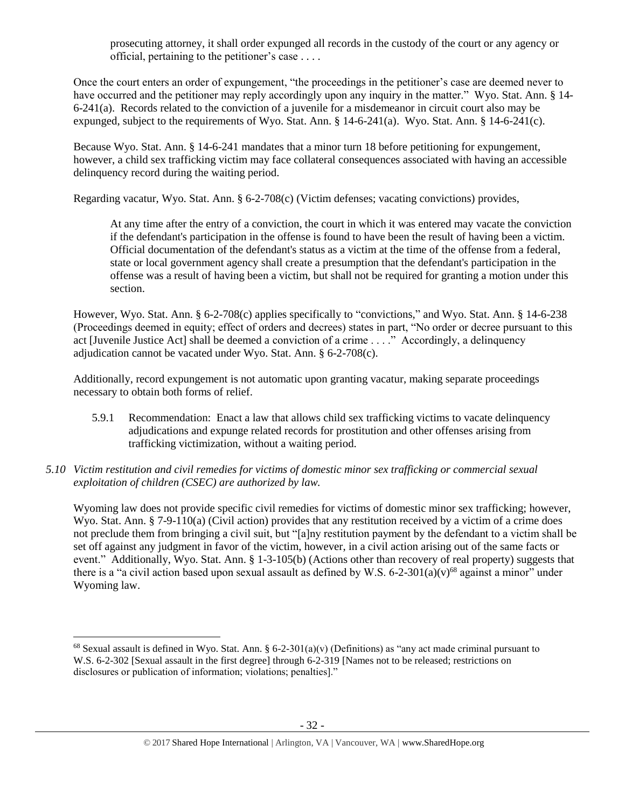prosecuting attorney, it shall order expunged all records in the custody of the court or any agency or official, pertaining to the petitioner's case . . . .

Once the court enters an order of expungement, "the proceedings in the petitioner's case are deemed never to have occurred and the petitioner may reply accordingly upon any inquiry in the matter." Wyo. Stat. Ann. § 14- 6-241(a). Records related to the conviction of a juvenile for a misdemeanor in circuit court also may be expunged, subject to the requirements of Wyo. Stat. Ann. § 14-6-241(a). Wyo. Stat. Ann. § 14-6-241(c).

Because Wyo. Stat. Ann. § 14-6-241 mandates that a minor turn 18 before petitioning for expungement, however, a child sex trafficking victim may face collateral consequences associated with having an accessible delinquency record during the waiting period.

Regarding vacatur, Wyo. Stat. Ann. § 6-2-708(c) (Victim defenses; vacating convictions) provides,

At any time after the entry of a conviction, the court in which it was entered may vacate the conviction if the defendant's participation in the offense is found to have been the result of having been a victim. Official documentation of the defendant's status as a victim at the time of the offense from a federal, state or local government agency shall create a presumption that the defendant's participation in the offense was a result of having been a victim, but shall not be required for granting a motion under this section.

However, Wyo. Stat. Ann. § 6-2-708(c) applies specifically to "convictions," and Wyo. Stat. Ann. § 14-6-238 (Proceedings deemed in equity; effect of orders and decrees) states in part, "No order or decree pursuant to this act [Juvenile Justice Act] shall be deemed a conviction of a crime . . . ." Accordingly, a delinquency adjudication cannot be vacated under Wyo. Stat. Ann. § 6-2-708(c).

Additionally, record expungement is not automatic upon granting vacatur, making separate proceedings necessary to obtain both forms of relief.

- 5.9.1 Recommendation: Enact a law that allows child sex trafficking victims to vacate delinquency adjudications and expunge related records for prostitution and other offenses arising from trafficking victimization, without a waiting period.
- *5.10 Victim restitution and civil remedies for victims of domestic minor sex trafficking or commercial sexual exploitation of children (CSEC) are authorized by law.*

<span id="page-31-0"></span>Wyoming law does not provide specific civil remedies for victims of domestic minor sex trafficking; however, Wyo. Stat. Ann. § 7-9-110(a) (Civil action) provides that any restitution received by a victim of a crime does not preclude them from bringing a civil suit, but "[a]ny restitution payment by the defendant to a victim shall be set off against any judgment in favor of the victim, however, in a civil action arising out of the same facts or event." Additionally, Wyo. Stat. Ann. § 1-3-105(b) (Actions other than recovery of real property) suggests that there is a "a civil action based upon sexual assault as defined by W.S. 6-2-301(a)(v)<sup>68</sup> against a minor" under Wyoming law.

<sup>&</sup>lt;sup>68</sup> Sexual assault is defined in Wyo. Stat. Ann. § 6-2-301(a)(v) (Definitions) as "any act made criminal pursuant to W.S. 6-2-302 [Sexual assault in the first degree] through 6-2-319 [Names not to be released; restrictions on disclosures or publication of information; violations; penalties]."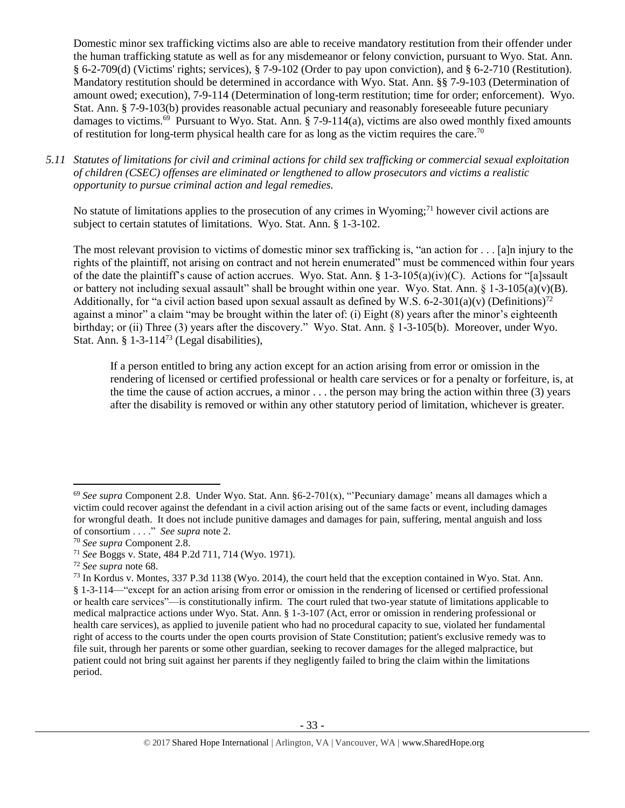Domestic minor sex trafficking victims also are able to receive mandatory restitution from their offender under the human trafficking statute as well as for any misdemeanor or felony conviction, pursuant to Wyo. Stat. Ann. § 6-2-709(d) (Victims' rights; services), § 7-9-102 (Order to pay upon conviction), and § 6-2-710 (Restitution). Mandatory restitution should be determined in accordance with Wyo. Stat. Ann. §§ 7-9-103 (Determination of amount owed; execution), 7-9-114 (Determination of long-term restitution; time for order; enforcement). Wyo. Stat. Ann. § 7-9-103(b) provides reasonable actual pecuniary and reasonably foreseeable future pecuniary damages to victims.<sup>69</sup> Pursuant to Wyo. Stat. Ann. § 7-9-114(a), victims are also owed monthly fixed amounts of restitution for long-term physical health care for as long as the victim requires the care.<sup>70</sup>

*5.11 Statutes of limitations for civil and criminal actions for child sex trafficking or commercial sexual exploitation of children (CSEC) offenses are eliminated or lengthened to allow prosecutors and victims a realistic opportunity to pursue criminal action and legal remedies.*

No statute of limitations applies to the prosecution of any crimes in Wyoming;<sup>71</sup> however civil actions are subject to certain statutes of limitations. Wyo. Stat. Ann. § 1-3-102.

The most relevant provision to victims of domestic minor sex trafficking is, "an action for . . . [a]n injury to the rights of the plaintiff, not arising on contract and not herein enumerated" must be commenced within four years of the date the plaintiff's cause of action accrues. Wyo. Stat. Ann.  $\S 1-3-105(a)(iv)(C)$ . Actions for "[a]ssault or battery not including sexual assault" shall be brought within one year. Wyo. Stat. Ann.  $\S 1-3-105(a)(v)(B)$ . Additionally, for "a civil action based upon sexual assault as defined by W.S. 6-2-301(a)(v) (Definitions)<sup>72</sup> against a minor" a claim "may be brought within the later of: (i) Eight (8) years after the minor's eighteenth birthday; or (ii) Three (3) years after the discovery." Wyo. Stat. Ann. § 1-3-105(b). Moreover, under Wyo. Stat. Ann. § 1-3-114<sup>73</sup> (Legal disabilities),

If a person entitled to bring any action except for an action arising from error or omission in the rendering of licensed or certified professional or health care services or for a penalty or forfeiture, is, at the time the cause of action accrues, a minor  $\ldots$  the person may bring the action within three (3) years after the disability is removed or within any other statutory period of limitation, whichever is greater.

<sup>&</sup>lt;sup>69</sup> See supra Component 2.8. Under Wyo. Stat. Ann. §6-2-701(x), "Pecuniary damage' means all damages which a victim could recover against the defendant in a civil action arising out of the same facts or event, including damages for wrongful death. It does not include punitive damages and damages for pain, suffering, mental anguish and loss of consortium . . . ." *See supra* not[e 2.](#page-0-1)

<sup>70</sup> *See supra* Component 2.8.

<sup>71</sup> *See* Boggs v. State, 484 P.2d 711, 714 (Wyo. 1971).

<sup>72</sup> *See supra* note [68.](#page-31-0)

<sup>73</sup> In Kordus v. Montes, 337 P.3d 1138 (Wyo. 2014), the court held that the exception contained in Wyo. Stat. Ann. § 1-3-114—"except for an action arising from error or omission in the rendering of licensed or certified professional or health care services"—is constitutionally infirm. The court ruled that two-year statute of limitations applicable to medical malpractice actions under Wyo. Stat. Ann. § 1-3-107 (Act, error or omission in rendering professional or health care services), as applied to juvenile patient who had no procedural capacity to sue, violated her fundamental right of access to the courts under the open courts provision of State Constitution; patient's exclusive remedy was to file suit, through her parents or some other guardian, seeking to recover damages for the alleged malpractice, but patient could not bring suit against her parents if they negligently failed to bring the claim within the limitations period.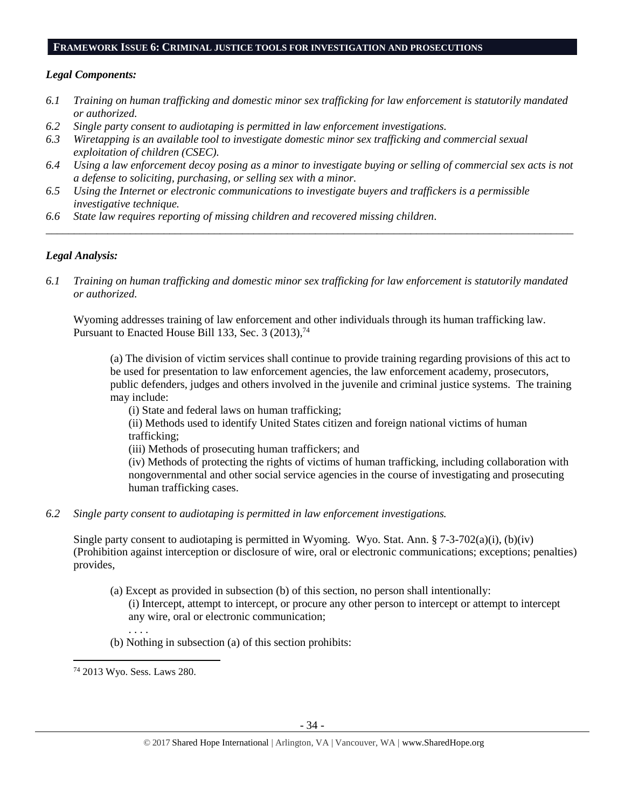#### **FRAMEWORK ISSUE 6: CRIMINAL JUSTICE TOOLS FOR INVESTIGATION AND PROSECUTIONS**

## *Legal Components:*

- *6.1 Training on human trafficking and domestic minor sex trafficking for law enforcement is statutorily mandated or authorized.*
- *6.2 Single party consent to audiotaping is permitted in law enforcement investigations.*
- *6.3 Wiretapping is an available tool to investigate domestic minor sex trafficking and commercial sexual exploitation of children (CSEC).*
- *6.4 Using a law enforcement decoy posing as a minor to investigate buying or selling of commercial sex acts is not a defense to soliciting, purchasing, or selling sex with a minor.*

*\_\_\_\_\_\_\_\_\_\_\_\_\_\_\_\_\_\_\_\_\_\_\_\_\_\_\_\_\_\_\_\_\_\_\_\_\_\_\_\_\_\_\_\_\_\_\_\_\_\_\_\_\_\_\_\_\_\_\_\_\_\_\_\_\_\_\_\_\_\_\_\_\_\_\_\_\_\_\_\_\_\_\_\_\_\_\_\_\_\_\_\_\_\_*

- *6.5 Using the Internet or electronic communications to investigate buyers and traffickers is a permissible investigative technique.*
- *6.6 State law requires reporting of missing children and recovered missing children.*

# *Legal Analysis:*

*6.1 Training on human trafficking and domestic minor sex trafficking for law enforcement is statutorily mandated or authorized.*

Wyoming addresses training of law enforcement and other individuals through its human trafficking law. Pursuant to Enacted House Bill 133, Sec. 3 (2013),<sup>74</sup>

(a) The division of victim services shall continue to provide training regarding provisions of this act to be used for presentation to law enforcement agencies, the law enforcement academy, prosecutors, public defenders, judges and others involved in the juvenile and criminal justice systems. The training may include:

(i) State and federal laws on human trafficking;

(ii) Methods used to identify United States citizen and foreign national victims of human trafficking;

(iii) Methods of prosecuting human traffickers; and

(iv) Methods of protecting the rights of victims of human trafficking, including collaboration with nongovernmental and other social service agencies in the course of investigating and prosecuting human trafficking cases.

## *6.2 Single party consent to audiotaping is permitted in law enforcement investigations.*

Single party consent to audiotaping is permitted in Wyoming. Wyo. Stat. Ann.  $\S$  7-3-702(a)(i), (b)(iv) (Prohibition against interception or disclosure of wire, oral or electronic communications; exceptions; penalties) provides,

- (a) Except as provided in subsection (b) of this section, no person shall intentionally: (i) Intercept, attempt to intercept, or procure any other person to intercept or attempt to intercept any wire, oral or electronic communication;
- (b) Nothing in subsection (a) of this section prohibits:

 $\overline{\phantom{a}}$ 

. . . .

<sup>74</sup> 2013 Wyo. Sess. Laws 280.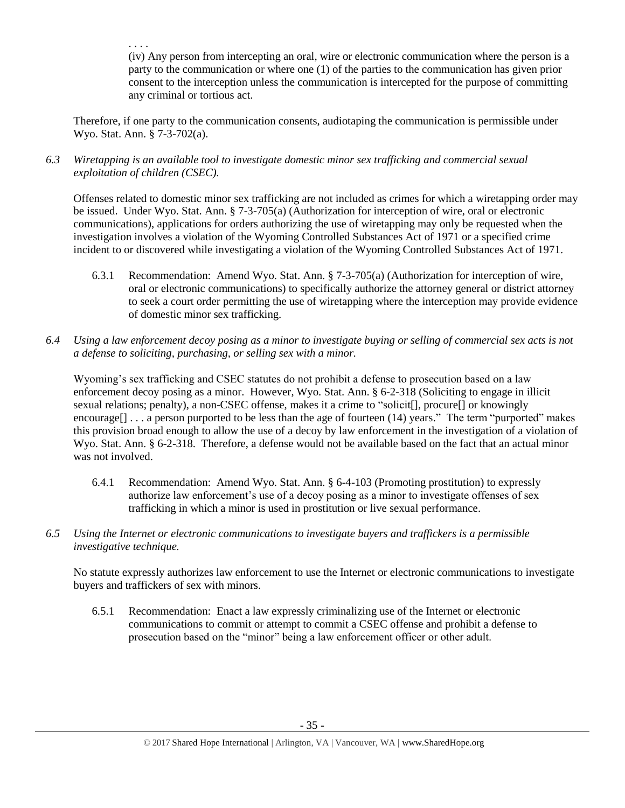. . . . (iv) Any person from intercepting an oral, wire or electronic communication where the person is a party to the communication or where one (1) of the parties to the communication has given prior consent to the interception unless the communication is intercepted for the purpose of committing any criminal or tortious act.

Therefore, if one party to the communication consents, audiotaping the communication is permissible under Wyo. Stat. Ann. § 7-3-702(a).

*6.3 Wiretapping is an available tool to investigate domestic minor sex trafficking and commercial sexual exploitation of children (CSEC).* 

Offenses related to domestic minor sex trafficking are not included as crimes for which a wiretapping order may be issued. Under Wyo. Stat. Ann. § 7-3-705(a) (Authorization for interception of wire, oral or electronic communications), applications for orders authorizing the use of wiretapping may only be requested when the investigation involves a violation of the Wyoming Controlled Substances Act of 1971 or a specified crime incident to or discovered while investigating a violation of the Wyoming Controlled Substances Act of 1971.

- 6.3.1 Recommendation: Amend Wyo. Stat. Ann. § 7-3-705(a) (Authorization for interception of wire, oral or electronic communications) to specifically authorize the attorney general or district attorney to seek a court order permitting the use of wiretapping where the interception may provide evidence of domestic minor sex trafficking.
- *6.4 Using a law enforcement decoy posing as a minor to investigate buying or selling of commercial sex acts is not a defense to soliciting, purchasing, or selling sex with a minor.*

Wyoming's sex trafficking and CSEC statutes do not prohibit a defense to prosecution based on a law enforcement decoy posing as a minor. However, Wyo. Stat. Ann. § 6-2-318 (Soliciting to engage in illicit sexual relations; penalty), a non-CSEC offense, makes it a crime to "solicit[], procure[] or knowingly encourage<sup>[]</sup> . . . a person purported to be less than the age of fourteen (14) years." The term "purported" makes this provision broad enough to allow the use of a decoy by law enforcement in the investigation of a violation of Wyo. Stat. Ann. § 6-2-318. Therefore, a defense would not be available based on the fact that an actual minor was not involved.

- 6.4.1 Recommendation: Amend Wyo. Stat. Ann. § 6-4-103 (Promoting prostitution) to expressly authorize law enforcement's use of a decoy posing as a minor to investigate offenses of sex trafficking in which a minor is used in prostitution or live sexual performance.
- *6.5 Using the Internet or electronic communications to investigate buyers and traffickers is a permissible investigative technique.*

No statute expressly authorizes law enforcement to use the Internet or electronic communications to investigate buyers and traffickers of sex with minors.

6.5.1 Recommendation: Enact a law expressly criminalizing use of the Internet or electronic communications to commit or attempt to commit a CSEC offense and prohibit a defense to prosecution based on the "minor" being a law enforcement officer or other adult.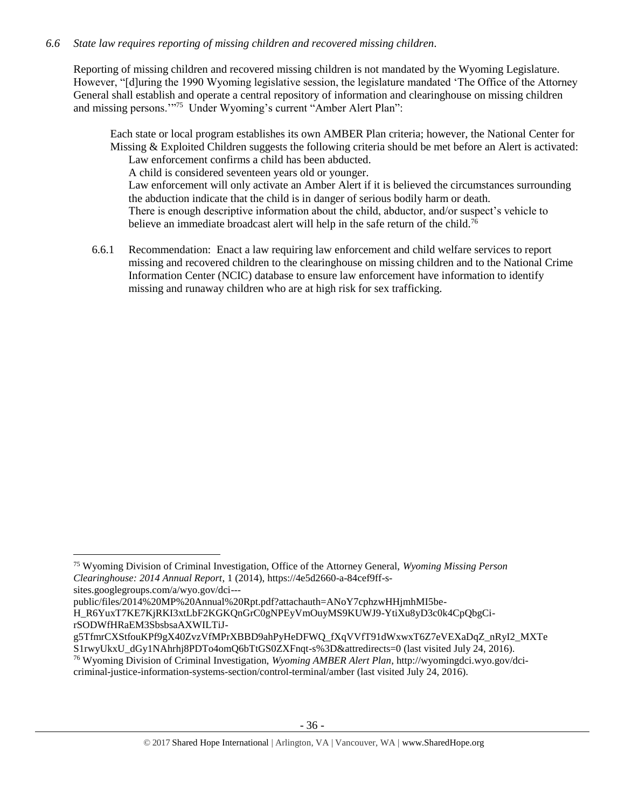# *6.6 State law requires reporting of missing children and recovered missing children.*

Reporting of missing children and recovered missing children is not mandated by the Wyoming Legislature. However, "[d]uring the 1990 Wyoming legislative session, the legislature mandated 'The Office of the Attorney General shall establish and operate a central repository of information and clearinghouse on missing children and missing persons."<sup>75</sup> Under Wyoming's current "Amber Alert Plan":

Each state or local program establishes its own AMBER Plan criteria; however, the National Center for Missing & Exploited Children suggests the following criteria should be met before an Alert is activated: Law enforcement confirms a child has been abducted.

A child is considered seventeen years old or younger.

Law enforcement will only activate an Amber Alert if it is believed the circumstances surrounding the abduction indicate that the child is in danger of serious bodily harm or death. There is enough descriptive information about the child, abductor, and/or suspect's vehicle to believe an immediate broadcast alert will help in the safe return of the child.<sup>76</sup>

6.6.1 Recommendation: Enact a law requiring law enforcement and child welfare services to report missing and recovered children to the clearinghouse on missing children and to the National Crime Information Center (NCIC) database to ensure law enforcement have information to identify missing and runaway children who are at high risk for sex trafficking.

public/files/2014%20MP%20Annual%20Rpt.pdf?attachauth=ANoY7cphzwHHjmhMI5be-

<sup>75</sup> Wyoming Division of Criminal Investigation, Office of the Attorney General, *Wyoming Missing Person Clearinghouse: 2014 Annual Report*, 1 (2014), https://4e5d2660-a-84cef9ff-ssites.googlegroups.com/a/wyo.gov/dci---

H\_R6YuxT7KE7KjRKI3xtLbF2KGKQnGrC0gNPEyVmOuyMS9KUWJ9-YtiXu8yD3c0k4CpQbgCirSODWfHRaEM3SbsbsaAXWILTiJ-

g5TfmrCXStfouKPf9gX40ZvzVfMPrXBBD9ahPyHeDFWQ\_fXqVVfT91dWxwxT6Z7eVEXaDqZ\_nRyI2\_MXTe S1rwyUkxU\_dGy1NAhrhj8PDTo4omQ6bTtGS0ZXFnqt-s%3D&attredirects=0 (last visited July 24, 2016).

<sup>76</sup> Wyoming Division of Criminal Investigation, *Wyoming AMBER Alert Plan*, http://wyomingdci.wyo.gov/dcicriminal-justice-information-systems-section/control-terminal/amber (last visited July 24, 2016).